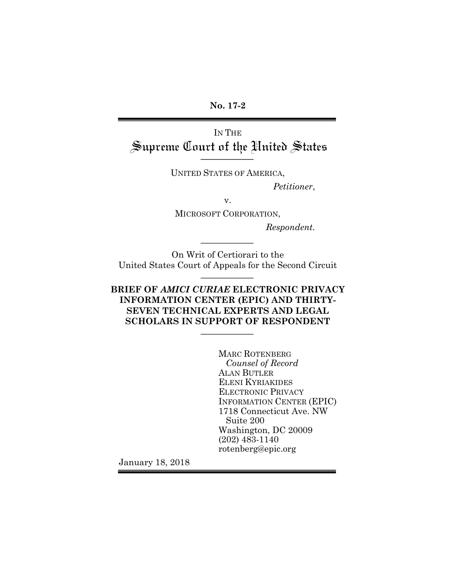**No. 17-2**

IN THE Supreme Court of the United States

UNITED STATES OF AMERICA,

*Petitioner*,

v.

MICROSOFT CORPORATION,

*Respondent.*

On Writ of Certiorari to the United States Court of Appeals for the Second Circuit

## **BRIEF OF** *AMICI CURIAE* **ELECTRONIC PRIVACY INFORMATION CENTER (EPIC) AND THIRTY-SEVEN TECHNICAL EXPERTS AND LEGAL SCHOLARS IN SUPPORT OF RESPONDENT**

MARC ROTENBERG *Counsel of Record* ALAN BUTLER ELENI KYRIAKIDES ELECTRONIC PRIVACY INFORMATION CENTER (EPIC) 1718 Connecticut Ave. NW Suite 200 Washington, DC 20009 (202) 483-1140 rotenberg@epic.org

January 18, 2018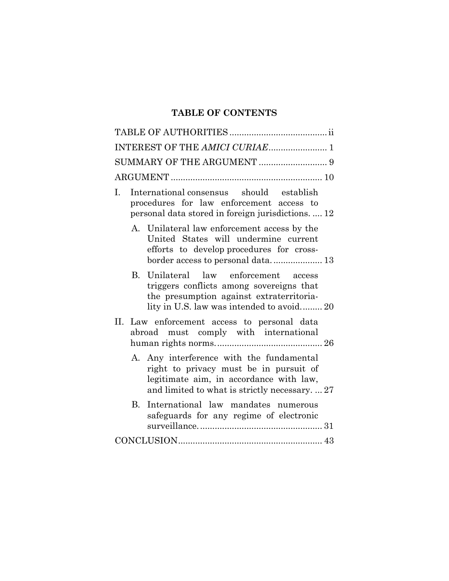# **TABLE OF CONTENTS**

| International consensus should establish<br>1.<br>procedures for law enforcement access to<br>personal data stored in foreign jurisdictions.  12                                |
|---------------------------------------------------------------------------------------------------------------------------------------------------------------------------------|
| A. Unilateral law enforcement access by the<br>United States will undermine current<br>efforts to develop procedures for cross-                                                 |
| B. Unilateral law enforcement access<br>triggers conflicts among sovereigns that<br>the presumption against extraterritoria-<br>lity in U.S. law was intended to avoid 20       |
| Н.<br>Law enforcement access to personal data<br>abroad must comply with international                                                                                          |
| A. Any interference with the fundamental<br>right to privacy must be in pursuit of<br>legitimate aim, in accordance with law,<br>and limited to what is strictly necessary.  27 |
| International law mandates numerous<br>B.<br>safeguards for any regime of electronic                                                                                            |
|                                                                                                                                                                                 |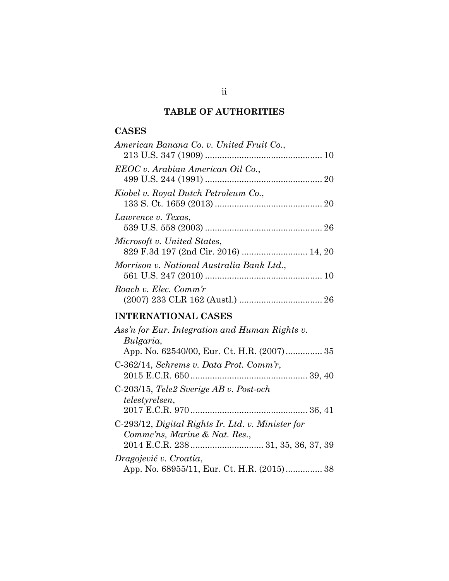# **TABLE OF AUTHORITIES**

# **CASES**

| American Banana Co. v. United Fruit Co.,                            |  |
|---------------------------------------------------------------------|--|
| EEOC v. Arabian American Oil Co.,                                   |  |
| Kiobel v. Royal Dutch Petroleum Co.,                                |  |
| Lawrence v. Texas,                                                  |  |
| Microsoft v. United States,<br>829 F.3d 197 (2nd Cir. 2016)  14, 20 |  |
| Morrison v. National Australia Bank Ltd.,                           |  |
| Roach v. Elec. Comm'r                                               |  |

# **INTERNATIONAL CASES**

| App. No. 62540/00, Eur. Ct. H.R. (2007) 35 |
|--------------------------------------------|
|                                            |
|                                            |
|                                            |
|                                            |
|                                            |
|                                            |
|                                            |
|                                            |
|                                            |
| App. No. 68955/11, Eur. Ct. H.R. (2015) 38 |
|                                            |

ii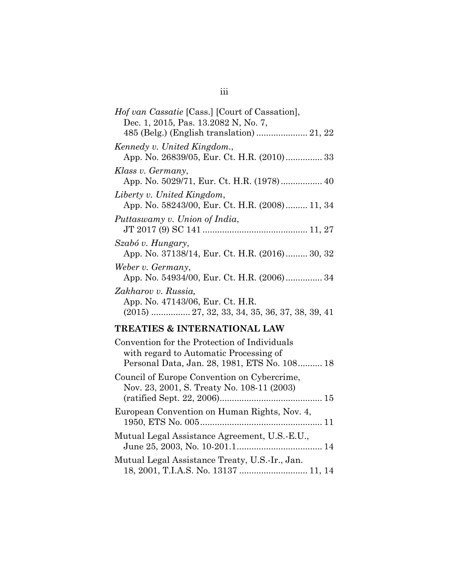| <i>Hof van Cassatie</i> [Cass.] [Court of Cassation],<br>Dec. 1, 2015, Pas. 13.2082 N, No. 7,              |
|------------------------------------------------------------------------------------------------------------|
|                                                                                                            |
| Kennedy v. United Kingdom.,<br>App. No. 26839/05, Eur. Ct. H.R. (2010) 33                                  |
| Klass v. Germany,                                                                                          |
| Liberty v. United Kingdom,<br>App. No. 58243/00, Eur. Ct. H.R. (2008) 11, 34                               |
| Puttaswamy v. Union of India,                                                                              |
| Szabó v. Hungary,<br>App. No. 37138/14, Eur. Ct. H.R. (2016) 30, 32                                        |
| Weber v. Germany,<br>App. No. 54934/00, Eur. Ct. H.R. (2006) 34                                            |
| Zakharov v. Russia,<br>App. No. 47143/06, Eur. Ct. H.R.<br>$(2015)$ 27, 32, 33, 34, 35, 36, 37, 38, 39, 41 |
|                                                                                                            |

# **TREATIES & INTERNATIONAL LAW**

| Convention for the Protection of Individuals<br>with regard to Automatic Processing of<br>Personal Data, Jan. 28, 1981, ETS No. 108 18 |
|----------------------------------------------------------------------------------------------------------------------------------------|
| Council of Europe Convention on Cybercrime,<br>Nov. 23, 2001, S. Treaty No. 108-11 (2003)                                              |
| European Convention on Human Rights, Nov. 4,                                                                                           |
| Mutual Legal Assistance Agreement, U.S.-E.U.,                                                                                          |
| Mutual Legal Assistance Treaty, U.S.-Ir., Jan.<br>18, 2001, T.I.A.S. No. 13137  11, 14                                                 |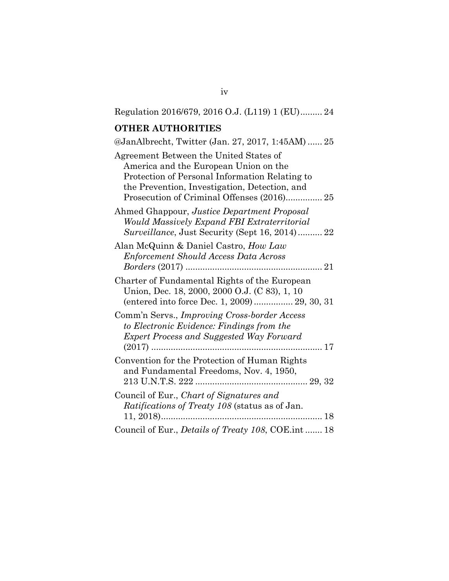| Regulation 2016/679, 2016 O.J. (L119) 1 (EU) 24                                                                                                                                                                                  |
|----------------------------------------------------------------------------------------------------------------------------------------------------------------------------------------------------------------------------------|
| <b>OTHER AUTHORITIES</b>                                                                                                                                                                                                         |
| @JanAlbrecht, Twitter (Jan. 27, 2017, 1:45AM) 25                                                                                                                                                                                 |
| Agreement Between the United States of<br>America and the European Union on the<br>Protection of Personal Information Relating to<br>the Prevention, Investigation, Detection, and<br>Prosecution of Criminal Offenses (2016) 25 |
| Ahmed Ghappour, Justice Department Proposal<br>Would Massively Expand FBI Extraterritorial<br><i>Surveillance</i> , Just Security (Sept 16, 2014) 22                                                                             |
| Alan McQuinn & Daniel Castro, How Law<br><b>Enforcement Should Access Data Across</b>                                                                                                                                            |
| Charter of Fundamental Rights of the European<br>Union, Dec. 18, 2000, 2000 O.J. (C 83), 1, 10<br>(entered into force Dec. 1, 2009)  29, 30, 31                                                                                  |
| Comm'n Servs., Improving Cross-border Access<br>to Electronic Evidence: Findings from the<br><b>Expert Process and Suggested Way Forward</b><br>. 17<br>$(2017)$                                                                 |
| Convention for the Protection of Human Rights<br>and Fundamental Freedoms, Nov. 4, 1950,                                                                                                                                         |
| Council of Eur., Chart of Signatures and<br><i>Ratifications of Treaty 108</i> (status as of Jan.<br>$11, 2018$<br>18                                                                                                            |
| Council of Eur., <i>Details of Treaty 108</i> , COE.int  18                                                                                                                                                                      |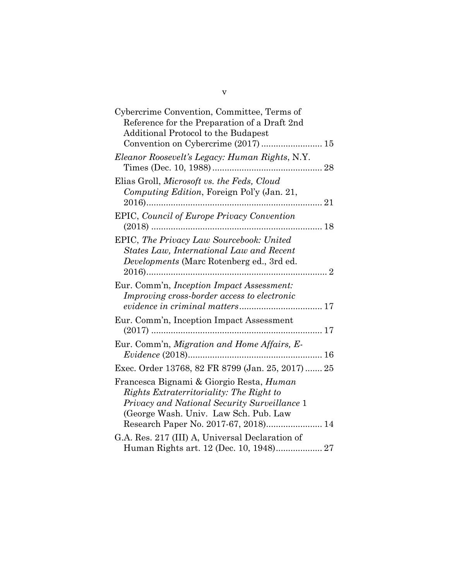| Cybercrime Convention, Committee, Terms of<br>Reference for the Preparation of a Draft 2nd<br>Additional Protocol to the Budapest                                                                                     |
|-----------------------------------------------------------------------------------------------------------------------------------------------------------------------------------------------------------------------|
| Convention on Cybercrime (2017)  15                                                                                                                                                                                   |
| Eleanor Roosevelt's Legacy: Human Rights, N.Y.                                                                                                                                                                        |
| Elias Groll, Microsoft vs. the Feds, Cloud<br>Computing Edition, Foreign Pol'y (Jan. 21,                                                                                                                              |
| <b>EPIC, Council of Europe Privacy Convention</b><br>. 18                                                                                                                                                             |
| EPIC, The Privacy Law Sourcebook: United<br>States Law, International Law and Recent<br>Developments (Marc Rotenberg ed., 3rd ed.                                                                                     |
| Eur. Comm'n, Inception Impact Assessment:<br>Improving cross-border access to electronic                                                                                                                              |
| Eur. Comm'n, Inception Impact Assessment                                                                                                                                                                              |
| Eur. Comm'n, Migration and Home Affairs, E-                                                                                                                                                                           |
| Exec. Order 13768, 82 FR 8799 (Jan. 25, 2017)  25                                                                                                                                                                     |
| Francesca Bignami & Giorgio Resta, Human<br>Rights Extraterritoriality: The Right to<br>Privacy and National Security Surveillance 1<br>(George Wash. Univ. Law Sch. Pub. Law<br>Research Paper No. 2017-67, 2018) 14 |
| G.A. Res. 217 (III) A, Universal Declaration of<br>Human Rights art. 12 (Dec. 10, 1948) 27                                                                                                                            |

v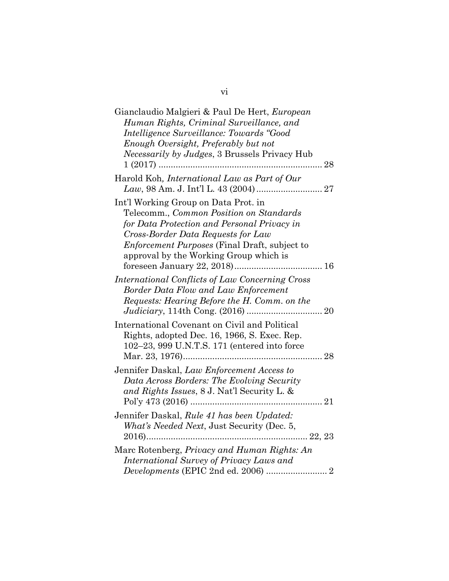| Gianclaudio Malgieri & Paul De Hert, European<br>Human Rights, Criminal Surveillance, and<br>Intelligence Surveillance: Towards "Good<br>Enough Oversight, Preferably but not<br><i>Necessarily by Judges</i> , 3 Brussels Privacy Hub                                 |
|------------------------------------------------------------------------------------------------------------------------------------------------------------------------------------------------------------------------------------------------------------------------|
| Harold Koh, International Law as Part of Our                                                                                                                                                                                                                           |
| Int'l Working Group on Data Prot. in<br>Telecomm., Common Position on Standards<br>for Data Protection and Personal Privacy in<br>Cross-Border Data Requests for Law<br><i>Enforcement Purposes</i> (Final Draft, subject to<br>approval by the Working Group which is |
| International Conflicts of Law Concerning Cross<br>Border Data Flow and Law Enforcement<br>Requests: Hearing Before the H. Comm. on the                                                                                                                                |
| International Covenant on Civil and Political<br>Rights, adopted Dec. 16, 1966, S. Exec. Rep.<br>102-23, 999 U.N.T.S. 171 (entered into force                                                                                                                          |
| Jennifer Daskal, Law Enforcement Access to<br>Data Across Borders: The Evolving Security<br>and Rights Issues, 8 J. Nat'l Security L. &                                                                                                                                |
| Jennifer Daskal, Rule 41 has been Updated:<br>What's Needed Next, Just Security (Dec. 5,<br>$2016)$<br>$\dots 22, 23$                                                                                                                                                  |
| Marc Rotenberg, Privacy and Human Rights: An<br>International Survey of Privacy Laws and<br>Developments (EPIC 2nd ed. 2006)  2                                                                                                                                        |

vi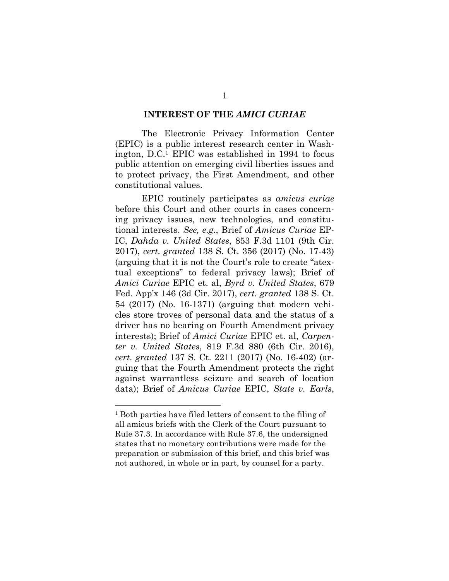#### **INTEREST OF THE** *AMICI CURIAE*

The Electronic Privacy Information Center (EPIC) is a public interest research center in Washington, D.C.1 EPIC was established in 1994 to focus public attention on emerging civil liberties issues and to protect privacy, the First Amendment, and other constitutional values.

EPIC routinely participates as *amicus curiae* before this Court and other courts in cases concerning privacy issues, new technologies, and constitutional interests. *See, e.g*., Brief of *Amicus Curiae* EP-IC, *Dahda v. United States*, 853 F.3d 1101 (9th Cir. 2017), *cert. granted* 138 S. Ct. 356 (2017) (No. 17-43) (arguing that it is not the Court's role to create "atextual exceptions" to federal privacy laws); Brief of *Amici Curiae* EPIC et. al, *Byrd v. United States*, 679 Fed. App'x 146 (3d Cir. 2017), *cert. granted* 138 S. Ct. 54 (2017) (No. 16-1371) (arguing that modern vehicles store troves of personal data and the status of a driver has no bearing on Fourth Amendment privacy interests); Brief of *Amici Curiae* EPIC et. al, *Carpenter v. United States*, 819 F.3d 880 (6th Cir. 2016), *cert. granted* 137 S. Ct. 2211 (2017) (No. 16-402) (arguing that the Fourth Amendment protects the right against warrantless seizure and search of location data); Brief of *Amicus Curiae* EPIC, *State v. Earls*,

<sup>&</sup>lt;sup>1</sup> Both parties have filed letters of consent to the filing of all amicus briefs with the Clerk of the Court pursuant to Rule 37.3. In accordance with Rule 37.6, the undersigned states that no monetary contributions were made for the preparation or submission of this brief, and this brief was not authored, in whole or in part, by counsel for a party.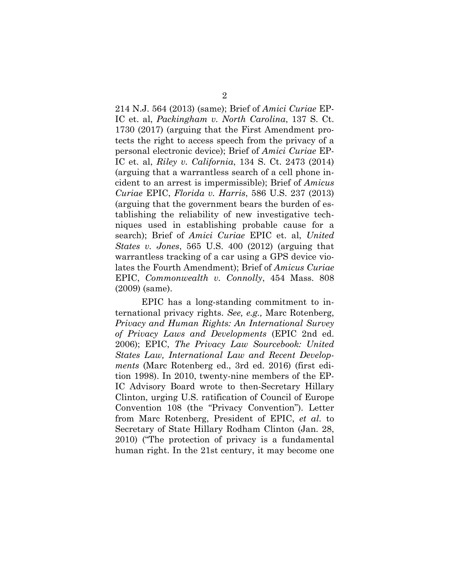214 N.J. 564 (2013) (same); Brief of *Amici Curiae* EP-IC et. al, *Packingham v. North Carolina*, 137 S. Ct. 1730 (2017) (arguing that the First Amendment protects the right to access speech from the privacy of a personal electronic device); Brief of *Amici Curiae* EP-IC et. al, *Riley v. California*, 134 S. Ct. 2473 (2014) (arguing that a warrantless search of a cell phone incident to an arrest is impermissible); Brief of *Amicus Curiae* EPIC, *Florida v. Harris*, 586 U.S. 237 (2013) (arguing that the government bears the burden of establishing the reliability of new investigative techniques used in establishing probable cause for a search); Brief of *Amici Curiae* EPIC et. al, *United States v. Jones*, 565 U.S. 400 (2012) (arguing that warrantless tracking of a car using a GPS device violates the Fourth Amendment); Brief of *Amicus Curiae*  EPIC, *Commonwealth v. Connolly*, 454 Mass. 808 (2009) (same).

EPIC has a long-standing commitment to international privacy rights. *See, e.g.,* Marc Rotenberg, *Privacy and Human Rights: An International Survey of Privacy Laws and Developments* (EPIC 2nd ed. 2006); EPIC, *The Privacy Law Sourcebook: United States Law, International Law and Recent Developments* (Marc Rotenberg ed., 3rd ed. 2016) (first edition 1998). In 2010, twenty-nine members of the EP-IC Advisory Board wrote to then-Secretary Hillary Clinton, urging U.S. ratification of Council of Europe Convention 108 (the "Privacy Convention"). Letter from Marc Rotenberg, President of EPIC, *et al.* to Secretary of State Hillary Rodham Clinton (Jan. 28, 2010) ("The protection of privacy is a fundamental human right. In the 21st century, it may become one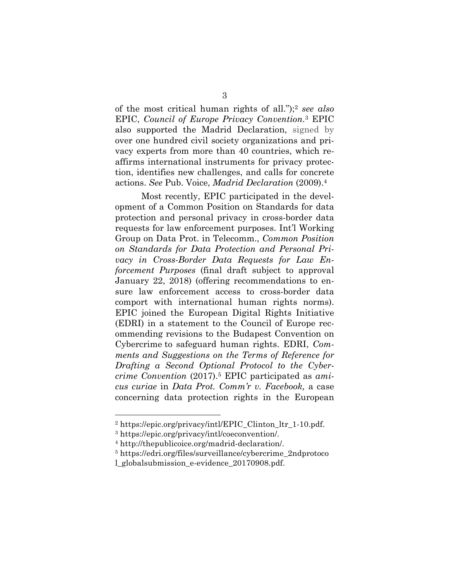of the most critical human rights of all.");2 *see also*  EPIC, *Council of Europe Privacy Convention*.3 EPIC also supported the Madrid Declaration, signed by over one hundred civil society organizations and privacy experts from more than 40 countries, which reaffirms international instruments for privacy protection, identifies new challenges, and calls for concrete actions. *See* Pub. Voice, *Madrid Declaration* (2009).4

Most recently, EPIC participated in the development of a Common Position on Standards for data protection and personal privacy in cross-border data requests for law enforcement purposes. Int'l Working Group on Data Prot. in Telecomm., *Common Position on Standards for Data Protection and Personal Privacy in Cross-Border Data Requests for Law Enforcement Purposes* (final draft subject to approval January 22, 2018) (offering recommendations to ensure law enforcement access to cross-border data comport with international human rights norms). EPIC joined the European Digital Rights Initiative (EDRI) in a statement to the Council of Europe recommending revisions to the Budapest Convention on Cybercrime to safeguard human rights. EDRI, *Comments and Suggestions on the Terms of Reference for Drafting a Second Optional Protocol to the Cybercrime Convention* (2017).5 EPIC participated as *amicus curiae* in *Data Prot. Comm'r v. Facebook,* a case concerning data protection rights in the European

<sup>&</sup>lt;sup>2</sup> https://epic.org/privacy/intl/EPIC\_Clinton\_ltr\_1-10.pdf.

<sup>3</sup> https://epic.org/privacy/intl/coeconvention/.

<sup>4</sup> http://thepublicoice.org/madrid-declaration/.

<sup>5</sup> https://edri.org/files/surveillance/cybercrime\_2ndprotoco

l\_globalsubmission\_e-evidence\_20170908.pdf.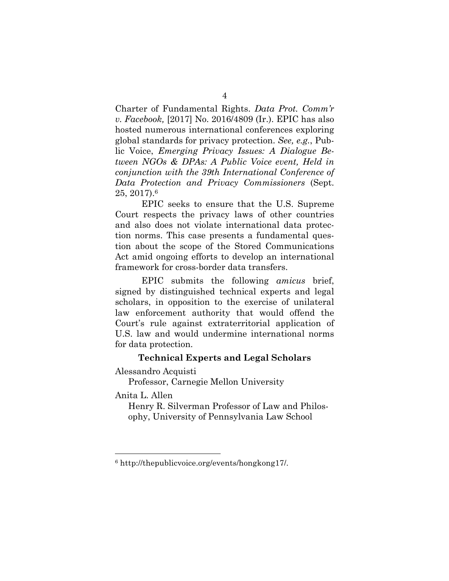Charter of Fundamental Rights. *Data Prot. Comm'r v. Facebook,* [2017] No. 2016/4809 (Ir.). EPIC has also hosted numerous international conferences exploring global standards for privacy protection. *See, e.g.*, Public Voice, *Emerging Privacy Issues: A Dialogue Between NGOs & DPAs: A Public Voice event, Held in conjunction with the 39th International Conference of Data Protection and Privacy Commissioners* (Sept. 25, 2017).6

EPIC seeks to ensure that the U.S. Supreme Court respects the privacy laws of other countries and also does not violate international data protection norms. This case presents a fundamental question about the scope of the Stored Communications Act amid ongoing efforts to develop an international framework for cross-border data transfers.

EPIC submits the following *amicus* brief, signed by distinguished technical experts and legal scholars, in opposition to the exercise of unilateral law enforcement authority that would offend the Court's rule against extraterritorial application of U.S. law and would undermine international norms for data protection.

### **Technical Experts and Legal Scholars**

Alessandro Acquisti

Professor, Carnegie Mellon University

Anita L. Allen

<u>.</u>

Henry R. Silverman Professor of Law and Philosophy, University of Pennsylvania Law School

<sup>6</sup> http://thepublicvoice.org/events/hongkong17/.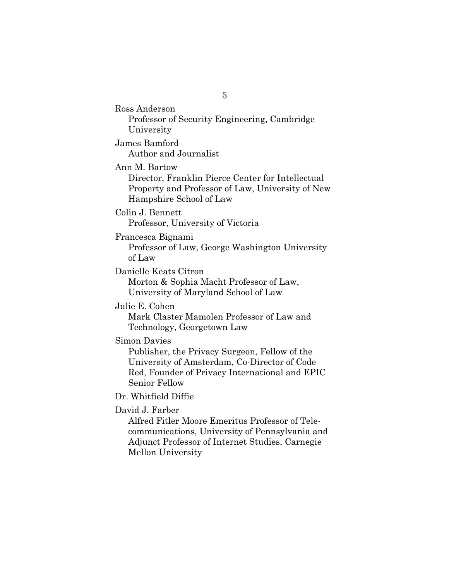Ross Anderson Professor of Security Engineering, Cambridge University

James Bamford Author and Journalist

Ann M. Bartow

Director, Franklin Pierce Center for Intellectual Property and Professor of Law, University of New Hampshire School of Law

Colin J. Bennett

Professor, University of Victoria

Francesca Bignami

Professor of Law, George Washington University of Law

Danielle Keats Citron

Morton & Sophia Macht Professor of Law, University of Maryland School of Law

Julie E. Cohen

Mark Claster Mamolen Professor of Law and Technology, Georgetown Law

Simon Davies

Publisher, the Privacy Surgeon, Fellow of the University of Amsterdam, Co-Director of Code Red, Founder of Privacy International and EPIC Senior Fellow

Dr. Whitfield Diffie

David J. Farber

Alfred Fitler Moore Emeritus Professor of Telecommunications, University of Pennsylvania and Adjunct Professor of Internet Studies, Carnegie Mellon University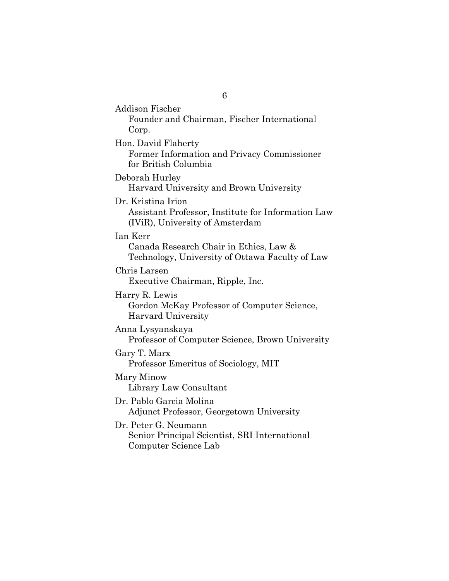Addison Fischer Founder and Chairman, Fischer International Corp. Hon. David Flaherty Former Information and Privacy Commissioner for British Columbia Deborah Hurley Harvard University and Brown University Dr. Kristina Irion Assistant Professor, Institute for Information Law (IViR), University of Amsterdam Ian Kerr Canada Research Chair in Ethics, Law & Technology, University of Ottawa Faculty of Law Chris Larsen Executive Chairman, Ripple, Inc. Harry R. Lewis Gordon McKay Professor of Computer Science, Harvard University Anna Lysyanskaya Professor of Computer Science, Brown University Gary T. Marx Professor Emeritus of Sociology, MIT Mary Minow Library Law Consultant Dr. Pablo Garcia Molina Adjunct Professor, Georgetown University Dr. Peter G. Neumann Senior Principal Scientist, SRI International Computer Science Lab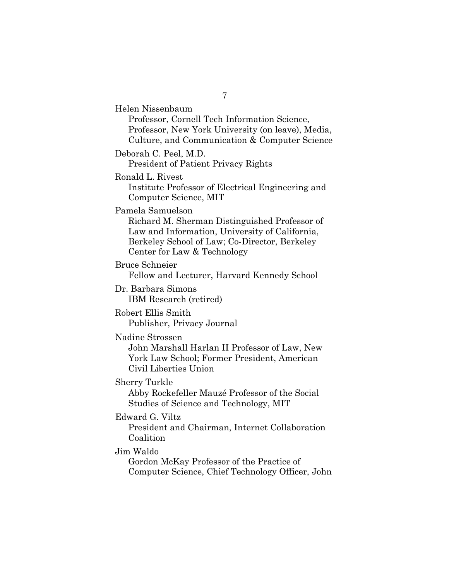Helen Nissenbaum Professor, Cornell Tech Information Science, Professor, New York University (on leave), Media, Culture, and Communication & Computer Science Deborah C. Peel, M.D. President of Patient Privacy Rights Ronald L. Rivest Institute Professor of Electrical Engineering and Computer Science, MIT Pamela Samuelson Richard M. Sherman Distinguished Professor of Law and Information, University of California, Berkeley School of Law; Co-Director, Berkeley Center for Law & Technology Bruce Schneier Fellow and Lecturer, Harvard Kennedy School Dr. Barbara Simons IBM Research (retired) Robert Ellis Smith Publisher, Privacy Journal Nadine Strossen John Marshall Harlan II Professor of Law, New York Law School; Former President, American Civil Liberties Union Sherry Turkle Abby Rockefeller Mauzé Professor of the Social Studies of Science and Technology, MIT Edward G. Viltz President and Chairman, Internet Collaboration Coalition Jim Waldo Gordon McKay Professor of the Practice of Computer Science, Chief Technology Officer, John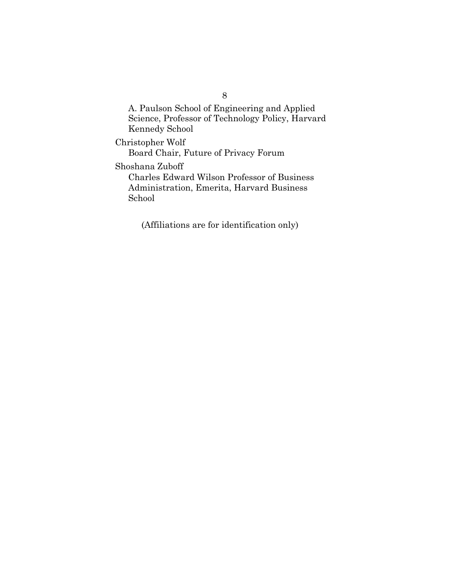A. Paulson School of Engineering and Applied Science, Professor of Technology Policy, Harvard Kennedy School

Christopher Wolf Board Chair, Future of Privacy Forum Shoshana Zuboff Charles Edward Wilson Professor of Business Administration, Emerita, Harvard Business School

(Affiliations are for identification only)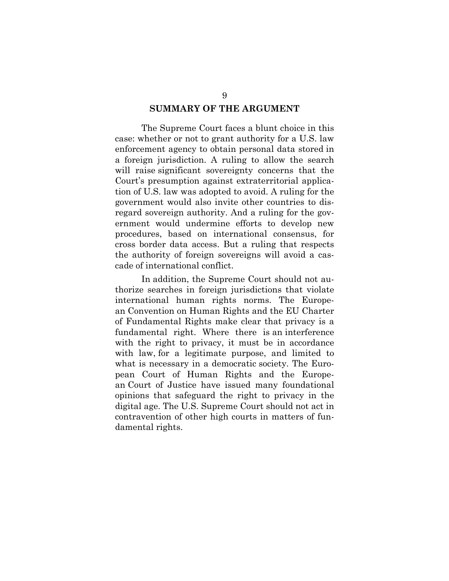### **SUMMARY OF THE ARGUMENT**

The Supreme Court faces a blunt choice in this case: whether or not to grant authority for a U.S. law enforcement agency to obtain personal data stored in a foreign jurisdiction. A ruling to allow the search will raise significant sovereignty concerns that the Court's presumption against extraterritorial application of U.S. law was adopted to avoid. A ruling for the government would also invite other countries to disregard sovereign authority. And a ruling for the government would undermine efforts to develop new procedures, based on international consensus, for cross border data access. But a ruling that respects the authority of foreign sovereigns will avoid a cascade of international conflict.

In addition, the Supreme Court should not authorize searches in foreign jurisdictions that violate international human rights norms. The European Convention on Human Rights and the EU Charter of Fundamental Rights make clear that privacy is a fundamental right. Where there is an interference with the right to privacy, it must be in accordance with law, for a legitimate purpose, and limited to what is necessary in a democratic society. The European Court of Human Rights and the European Court of Justice have issued many foundational opinions that safeguard the right to privacy in the digital age. The U.S. Supreme Court should not act in contravention of other high courts in matters of fundamental rights.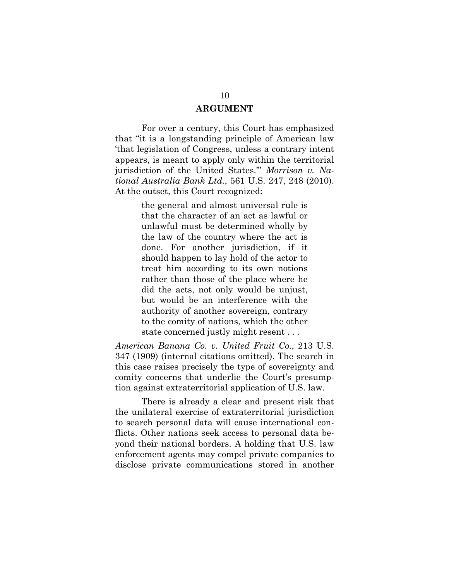### **ARGUMENT**

For over a century, this Court has emphasized that "it is a longstanding principle of American law 'that legislation of Congress, unless a contrary intent appears, is meant to apply only within the territorial jurisdiction of the United States.'" *Morrison v. National Australia Bank Ltd.*, 561 U.S. 247, 248 (2010). At the outset, this Court recognized:

> the general and almost universal rule is that the character of an act as lawful or unlawful must be determined wholly by the law of the country where the act is done. For another jurisdiction, if it should happen to lay hold of the actor to treat him according to its own notions rather than those of the place where he did the acts, not only would be unjust, but would be an interference with the authority of another sovereign, contrary to the comity of nations, which the other state concerned justly might resent . . .

*American Banana Co. v. United Fruit Co.*, 213 U.S. 347 (1909) (internal citations omitted). The search in this case raises precisely the type of sovereignty and comity concerns that underlie the Court's presumption against extraterritorial application of U.S. law.

There is already a clear and present risk that the unilateral exercise of extraterritorial jurisdiction to search personal data will cause international conflicts. Other nations seek access to personal data beyond their national borders. A holding that U.S. law enforcement agents may compel private companies to disclose private communications stored in another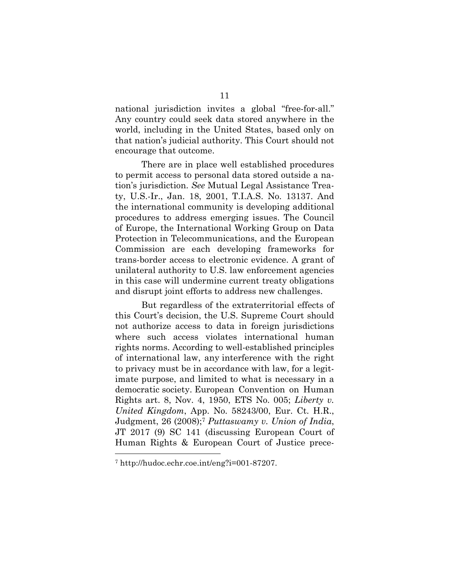national jurisdiction invites a global "free-for-all." Any country could seek data stored anywhere in the world, including in the United States, based only on that nation's judicial authority. This Court should not encourage that outcome.

There are in place well established procedures to permit access to personal data stored outside a nation's jurisdiction. *See* Mutual Legal Assistance Treaty, U.S.-Ir., Jan. 18, 2001, T.I.A.S. No. 13137. And the international community is developing additional procedures to address emerging issues. The Council of Europe, the International Working Group on Data Protection in Telecommunications, and the European Commission are each developing frameworks for trans-border access to electronic evidence. A grant of unilateral authority to U.S. law enforcement agencies in this case will undermine current treaty obligations and disrupt joint efforts to address new challenges.

But regardless of the extraterritorial effects of this Court's decision, the U.S. Supreme Court should not authorize access to data in foreign jurisdictions where such access violates international human rights norms. According to well-established principles of international law, any interference with the right to privacy must be in accordance with law, for a legitimate purpose, and limited to what is necessary in a democratic society. European Convention on Human Rights art. 8, Nov. 4, 1950, ETS No. 005; *Liberty v. United Kingdom*, App. No. 58243/00, Eur. Ct. H.R., Judgment, 26 (2008);7 *Puttaswamy v. Union of India*, JT 2017 (9) SC 141 (discussing European Court of Human Rights & European Court of Justice prece-

<sup>7</sup> http://hudoc.echr.coe.int/eng?i=001-87207.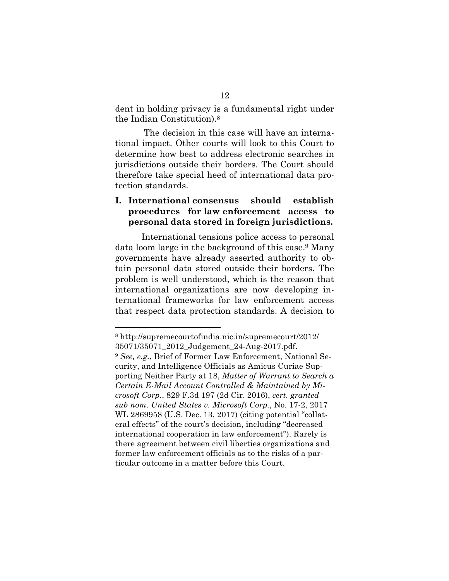dent in holding privacy is a fundamental right under the Indian Constitution).<sup>8</sup>

The decision in this case will have an international impact. Other courts will look to this Court to determine how best to address electronic searches in jurisdictions outside their borders. The Court should therefore take special heed of international data protection standards.

## **I. International consensus should establish procedures for law enforcement access to personal data stored in foreign jurisdictions.**

International tensions police access to personal data loom large in the background of this case.9 Many governments have already asserted authority to obtain personal data stored outside their borders. The problem is well understood, which is the reason that international organizations are now developing international frameworks for law enforcement access that respect data protection standards. A decision to

<sup>8</sup> http://supremecourtofindia.nic.in/supremecourt/2012/ 35071/35071\_2012\_Judgement\_24-Aug-2017.pdf.

<sup>9</sup> *See, e.g.*, Brief of Former Law Enforcement, National Security, and Intelligence Officials as Amicus Curiae Supporting Neither Party at 18, *Matter of Warrant to Search a Certain E-Mail Account Controlled & Maintained by Microsoft Corp.*, 829 F.3d 197 (2d Cir. 2016), *cert. granted sub nom. United States v. Microsoft Corp.*, No. 17-2, 2017 WL 2869958 (U.S. Dec. 13, 2017) (citing potential "collateral effects" of the court's decision, including "decreased international cooperation in law enforcement"). Rarely is there agreement between civil liberties organizations and former law enforcement officials as to the risks of a particular outcome in a matter before this Court.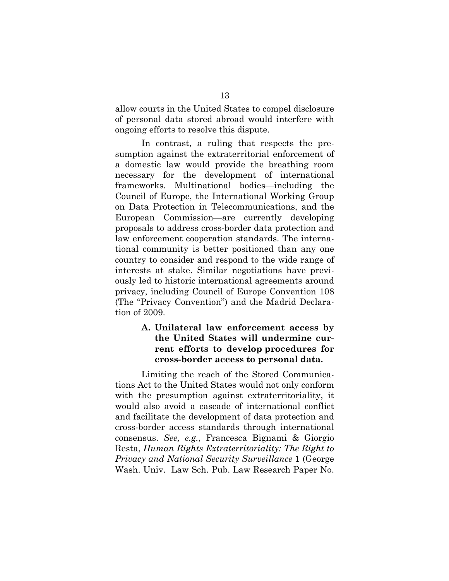allow courts in the United States to compel disclosure of personal data stored abroad would interfere with ongoing efforts to resolve this dispute.

In contrast, a ruling that respects the presumption against the extraterritorial enforcement of a domestic law would provide the breathing room necessary for the development of international frameworks. Multinational bodies—including the Council of Europe, the International Working Group on Data Protection in Telecommunications, and the European Commission—are currently developing proposals to address cross-border data protection and law enforcement cooperation standards. The international community is better positioned than any one country to consider and respond to the wide range of interests at stake. Similar negotiations have previously led to historic international agreements around privacy, including Council of Europe Convention 108 (The "Privacy Convention") and the Madrid Declaration of 2009.

# **A. Unilateral law enforcement access by the United States will undermine current efforts to develop procedures for cross-border access to personal data.**

Limiting the reach of the Stored Communications Act to the United States would not only conform with the presumption against extraterritoriality, it would also avoid a cascade of international conflict and facilitate the development of data protection and cross-border access standards through international consensus. *See, e.g.*, Francesca Bignami & Giorgio Resta, *Human Rights Extraterritoriality: The Right to Privacy and National Security Surveillance* 1 (George Wash. Univ. Law Sch. Pub. Law Research Paper No.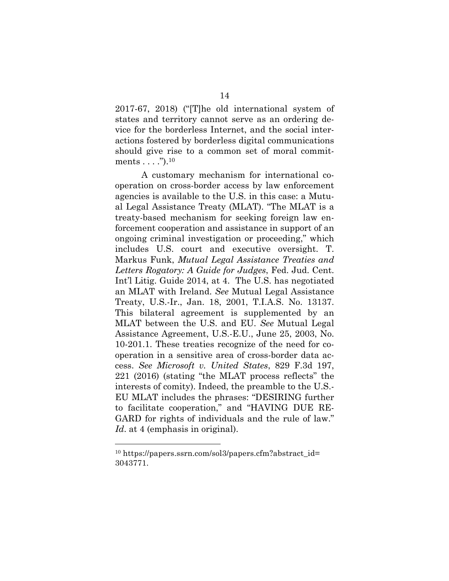2017-67, 2018) ("[T]he old international system of states and territory cannot serve as an ordering device for the borderless Internet, and the social interactions fostered by borderless digital communications should give rise to a common set of moral commitments  $\dots$ ." $)$ .<sup>10</sup>

A customary mechanism for international cooperation on cross-border access by law enforcement agencies is available to the U.S. in this case: a Mutual Legal Assistance Treaty (MLAT). "The MLAT is a treaty-based mechanism for seeking foreign law enforcement cooperation and assistance in support of an ongoing criminal investigation or proceeding," which includes U.S. court and executive oversight. T. Markus Funk, *Mutual Legal Assistance Treaties and Letters Rogatory: A Guide for Judges*, Fed. Jud. Cent. Int'l Litig. Guide 2014, at 4. The U.S. has negotiated an MLAT with Ireland. *See* Mutual Legal Assistance Treaty, U.S.-Ir., Jan. 18, 2001, T.I.A.S. No. 13137. This bilateral agreement is supplemented by an MLAT between the U.S. and EU. *See* Mutual Legal Assistance Agreement, U.S.-E.U., June 25, 2003, No. 10-201.1. These treaties recognize of the need for cooperation in a sensitive area of cross-border data access. *See Microsoft v. United States*, 829 F.3d 197, 221 (2016) (stating "the MLAT process reflects" the interests of comity). Indeed, the preamble to the U.S.- EU MLAT includes the phrases: "DESIRING further to facilitate cooperation," and "HAVING DUE RE-GARD for rights of individuals and the rule of law." *Id*. at 4 (emphasis in original).

<sup>&</sup>lt;sup>10</sup> https://papers.ssrn.com/sol3/papers.cfm?abstract\_id= 3043771.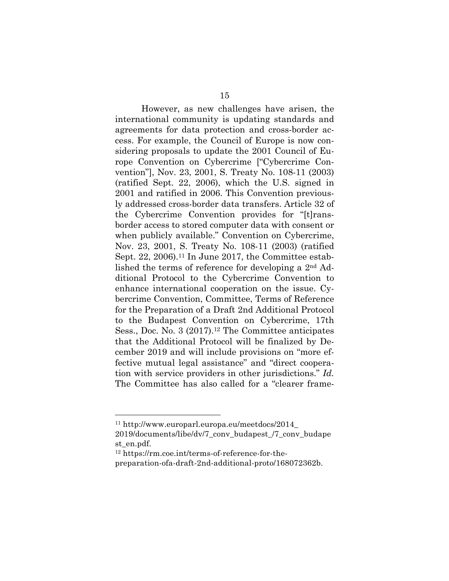However, as new challenges have arisen, the international community is updating standards and agreements for data protection and cross-border access. For example, the Council of Europe is now considering proposals to update the 2001 Council of Europe Convention on Cybercrime ["Cybercrime Convention"], Nov. 23, 2001, S. Treaty No. 108-11 (2003) (ratified Sept. 22, 2006), which the U.S. signed in 2001 and ratified in 2006. This Convention previously addressed cross-border data transfers. Article 32 of the Cybercrime Convention provides for "[t]ransborder access to stored computer data with consent or when publicly available." Convention on Cybercrime, Nov. 23, 2001, S. Treaty No. 108-11 (2003) (ratified Sept. 22, 2006).<sup>11</sup> In June 2017, the Committee established the terms of reference for developing a 2nd Additional Protocol to the Cybercrime Convention to enhance international cooperation on the issue. Cybercrime Convention, Committee, Terms of Reference for the Preparation of a Draft 2nd Additional Protocol to the Budapest Convention on Cybercrime, 17th Sess., Doc. No. 3 (2017).<sup>12</sup> The Committee anticipates that the Additional Protocol will be finalized by December 2019 and will include provisions on "more effective mutual legal assistance" and "direct cooperation with service providers in other jurisdictions." *Id.* The Committee has also called for a "clearer frame-

<sup>11</sup> http://www.europarl.europa.eu/meetdocs/2014\_

<sup>2019/</sup>documents/libe/dv/7\_conv\_budapest\_/7\_conv\_budape st\_en.pdf.

<sup>12</sup> https://rm.coe.int/terms-of-reference-for-thepreparation-ofa-draft-2nd-additional-proto/168072362b.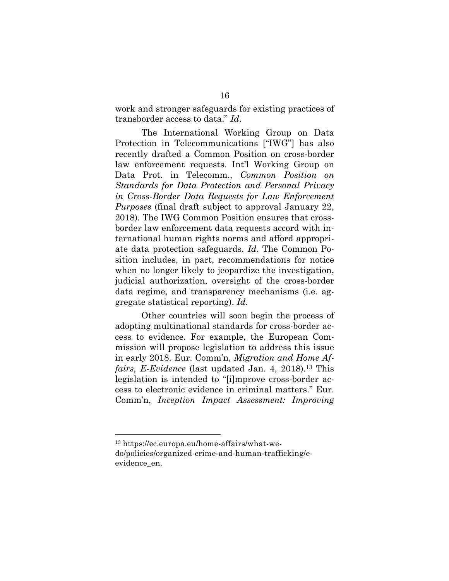work and stronger safeguards for existing practices of transborder access to data." *Id*.

The International Working Group on Data Protection in Telecommunications ["IWG"] has also recently drafted a Common Position on cross-border law enforcement requests. Int'l Working Group on Data Prot. in Telecomm., *Common Position on Standards for Data Protection and Personal Privacy in Cross-Border Data Requests for Law Enforcement Purposes* (final draft subject to approval January 22, 2018). The IWG Common Position ensures that crossborder law enforcement data requests accord with international human rights norms and afford appropriate data protection safeguards. *Id*. The Common Position includes, in part, recommendations for notice when no longer likely to jeopardize the investigation, judicial authorization, oversight of the cross-border data regime, and transparency mechanisms (i.e. aggregate statistical reporting). *Id*.

Other countries will soon begin the process of adopting multinational standards for cross-border access to evidence. For example, the European Commission will propose legislation to address this issue in early 2018. Eur. Comm'n, *Migration and Home Affairs, E-Evidence* (last updated Jan. 4, 2018).<sup>13</sup> This legislation is intended to "[i]mprove cross-border access to electronic evidence in criminal matters." Eur. Comm'n, *Inception Impact Assessment: Improving* 

<sup>13</sup> https://ec.europa.eu/home-affairs/what-wedo/policies/organized-crime-and-human-trafficking/eevidence\_en.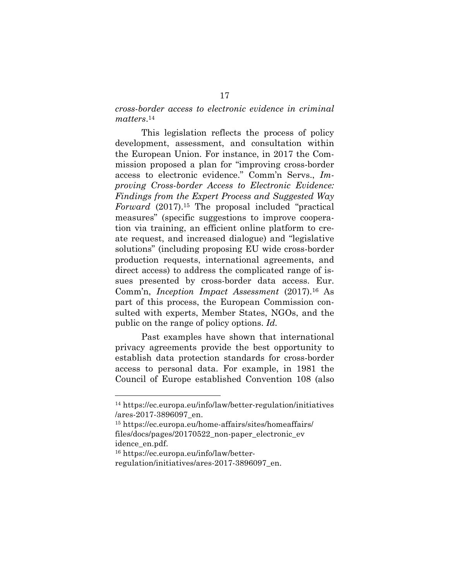### *cross-border access to electronic evidence in criminal matters*.14

This legislation reflects the process of policy development, assessment, and consultation within the European Union. For instance, in 2017 the Commission proposed a plan for "improving cross-border access to electronic evidence." Comm'n Servs., *Improving Cross-border Access to Electronic Evidence: Findings from the Expert Process and Suggested Way Forward* (2017).15 The proposal included "practical measures" (specific suggestions to improve cooperation via training, an efficient online platform to create request, and increased dialogue) and "legislative solutions" (including proposing EU wide cross-border production requests, international agreements, and direct access) to address the complicated range of issues presented by cross-border data access. Eur. Comm'n, *Inception Impact Assessment* (2017).16 As part of this process, the European Commission consulted with experts, Member States, NGOs, and the public on the range of policy options. *Id.*

Past examples have shown that international privacy agreements provide the best opportunity to establish data protection standards for cross-border access to personal data. For example, in 1981 the Council of Europe established Convention 108 (also

<sup>14</sup> https://ec.europa.eu/info/law/better-regulation/initiatives /ares-2017-3896097\_en.

<sup>15</sup> https://ec.europa.eu/home-affairs/sites/homeaffairs/ files/docs/pages/20170522\_non-paper\_electronic\_ev idence\_en.pdf.

<sup>16</sup> https://ec.europa.eu/info/law/better-

regulation/initiatives/ares-2017-3896097\_en.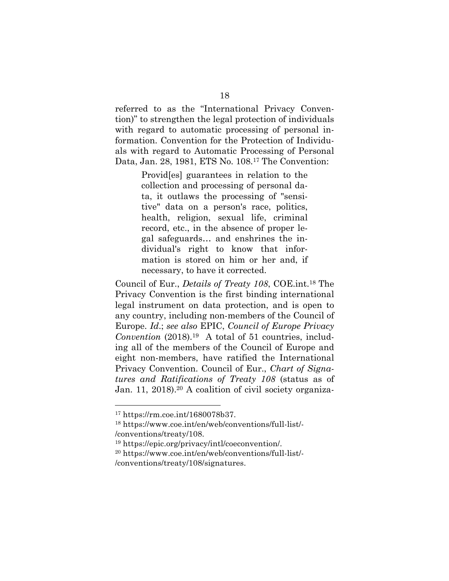referred to as the "International Privacy Convention)" to strengthen the legal protection of individuals with regard to automatic processing of personal information. Convention for the Protection of Individuals with regard to Automatic Processing of Personal Data, Jan. 28, 1981, ETS No. 108.17 The Convention:

> Provid[es] guarantees in relation to the collection and processing of personal data, it outlaws the processing of "sensitive" data on a person's race, politics, health, religion, sexual life, criminal record, etc., in the absence of proper legal safeguards… and enshrines the individual's right to know that information is stored on him or her and, if necessary, to have it corrected.

Council of Eur., *Details of Treaty 108*, COE.int.18 The Privacy Convention is the first binding international legal instrument on data protection, and is open to any country, including non-members of the Council of Europe. *Id*.; *see also* EPIC, *Council of Europe Privacy Convention* (2018).19 A total of 51 countries, including all of the members of the Council of Europe and eight non-members, have ratified the International Privacy Convention. Council of Eur., *Chart of Signatures and Ratifications of Treaty 108* (status as of Jan. 11, 2018).<sup>20</sup> A coalition of civil society organiza-

<sup>17</sup> https://rm.coe.int/1680078b37.

<sup>18</sup> https://www.coe.int/en/web/conventions/full-list/- /conventions/treaty/108.

<sup>19</sup> https://epic.org/privacy/intl/coeconvention/.

<sup>20</sup> https://www.coe.int/en/web/conventions/full-list/- /conventions/treaty/108/signatures.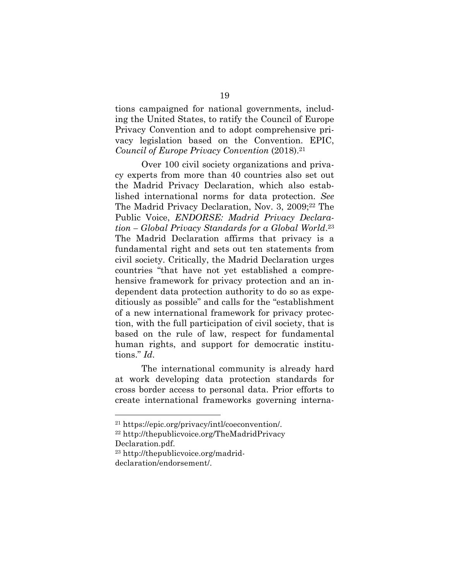tions campaigned for national governments, including the United States, to ratify the Council of Europe Privacy Convention and to adopt comprehensive privacy legislation based on the Convention. EPIC, *Council of Europe Privacy Convention* (2018).21

Over 100 civil society organizations and privacy experts from more than 40 countries also set out the Madrid Privacy Declaration, which also established international norms for data protection. *See*  The Madrid Privacy Declaration, Nov. 3, 2009;<sup>22</sup> The Public Voice, *ENDORSE: Madrid Privacy Declaration – Global Privacy Standards for a Global World*.23 The Madrid Declaration affirms that privacy is a fundamental right and sets out ten statements from civil society. Critically, the Madrid Declaration urges countries "that have not yet established a comprehensive framework for privacy protection and an independent data protection authority to do so as expeditiously as possible" and calls for the "establishment of a new international framework for privacy protection, with the full participation of civil society, that is based on the rule of law, respect for fundamental human rights, and support for democratic institutions." *Id*.

The international community is already hard at work developing data protection standards for cross border access to personal data. Prior efforts to create international frameworks governing interna-

<sup>23</sup> http://thepublicvoice.org/madrid-

<sup>21</sup> https://epic.org/privacy/intl/coeconvention/.

<sup>22</sup> http://thepublicvoice.org/TheMadridPrivacy Declaration.pdf.

declaration/endorsement/.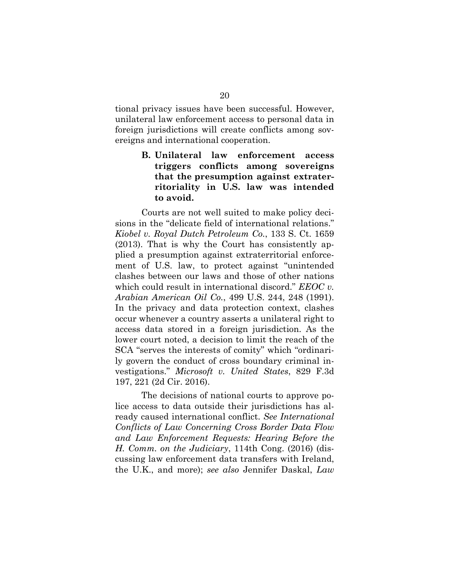tional privacy issues have been successful. However, unilateral law enforcement access to personal data in foreign jurisdictions will create conflicts among sovereigns and international cooperation.

# **B. Unilateral law enforcement access triggers conflicts among sovereigns that the presumption against extraterritoriality in U.S. law was intended to avoid.**

Courts are not well suited to make policy decisions in the "delicate field of international relations." *Kiobel v. Royal Dutch Petroleum Co.*, 133 S. Ct. 1659 (2013). That is why the Court has consistently applied a presumption against extraterritorial enforcement of U.S. law, to protect against "unintended clashes between our laws and those of other nations which could result in international discord." *EEOC v. Arabian American Oil Co.*, 499 U.S. 244, 248 (1991). In the privacy and data protection context, clashes occur whenever a country asserts a unilateral right to access data stored in a foreign jurisdiction. As the lower court noted, a decision to limit the reach of the SCA "serves the interests of comity" which "ordinarily govern the conduct of cross boundary criminal investigations." *Microsoft v. United States*, 829 F.3d 197, 221 (2d Cir. 2016).

The decisions of national courts to approve police access to data outside their jurisdictions has already caused international conflict. *See International Conflicts of Law Concerning Cross Border Data Flow and Law Enforcement Requests: Hearing Before the H. Comm. on the Judiciary*, 114th Cong. (2016) (discussing law enforcement data transfers with Ireland, the U.K., and more); *see also* Jennifer Daskal, *Law*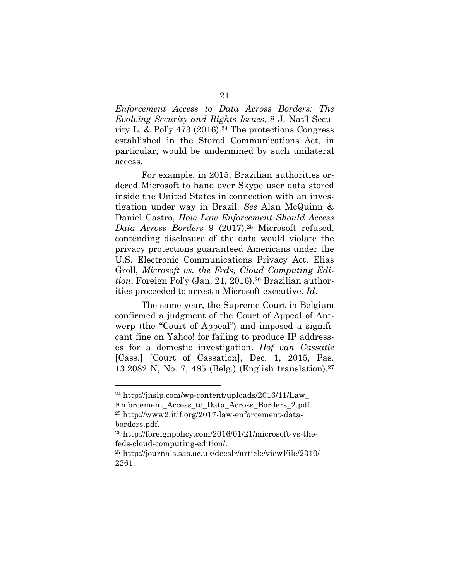*Enforcement Access to Data Across Borders: The Evolving Security and Rights Issues*, 8 J. Nat'l Security L. & Pol'y 473 (2016).<sup>24</sup> The protections Congress established in the Stored Communications Act, in particular, would be undermined by such unilateral access.

For example, in 2015, Brazilian authorities ordered Microsoft to hand over Skype user data stored inside the United States in connection with an investigation under way in Brazil. *See* Alan McQuinn & Daniel Castro, *How Law Enforcement Should Access Data Across Borders* 9 (2017).25 Microsoft refused, contending disclosure of the data would violate the privacy protections guaranteed Americans under the U.S. Electronic Communications Privacy Act. Elias Groll, *Microsoft vs. the Feds, Cloud Computing Edition*, Foreign Pol'y (Jan. 21, 2016).<sup>26</sup> Brazilian authorities proceeded to arrest a Microsoft executive. *Id*.

The same year, the Supreme Court in Belgium confirmed a judgment of the Court of Appeal of Antwerp (the "Court of Appeal") and imposed a significant fine on Yahoo! for failing to produce IP addresses for a domestic investigation. *Hof van Cassatie* [Cass.] [Court of Cassation], Dec. 1, 2015, Pas. 13.2082 N, No. 7, 485 (Belg.) (English translation).27

<sup>24</sup> http://jnslp.com/wp-content/uploads/2016/11/Law\_ Enforcement Access to Data Across Borders 2.pdf. <sup>25</sup> http://www2.itif.org/2017-law-enforcement-databorders.pdf.

<sup>26</sup> http://foreignpolicy.com/2016/01/21/microsoft-vs-thefeds-cloud-computing-edition/.

<sup>27</sup> http://journals.sas.ac.uk/deeslr/article/viewFile/2310/ 2261.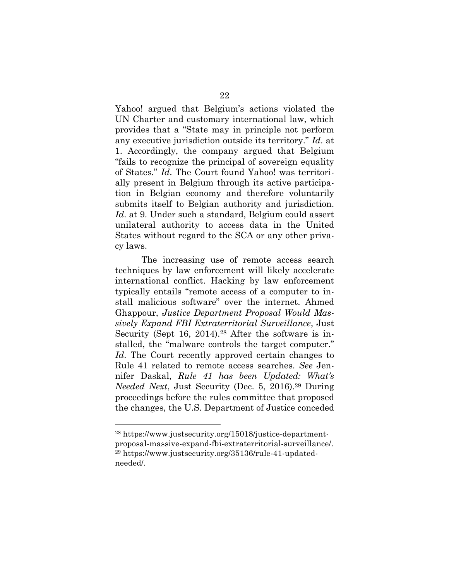Yahoo! argued that Belgium's actions violated the UN Charter and customary international law, which provides that a "State may in principle not perform any executive jurisdiction outside its territory." *Id*. at 1. Accordingly, the company argued that Belgium "fails to recognize the principal of sovereign equality of States." *Id*. The Court found Yahoo! was territorially present in Belgium through its active participation in Belgian economy and therefore voluntarily submits itself to Belgian authority and jurisdiction. *Id*. at 9. Under such a standard, Belgium could assert unilateral authority to access data in the United States without regard to the SCA or any other privacy laws.

The increasing use of remote access search techniques by law enforcement will likely accelerate international conflict. Hacking by law enforcement typically entails "remote access of a computer to install malicious software" over the internet. Ahmed Ghappour, *Justice Department Proposal Would Massively Expand FBI Extraterritorial Surveillance*, Just Security (Sept 16, 2014).<sup>28</sup> After the software is installed, the "malware controls the target computer." *Id*. The Court recently approved certain changes to Rule 41 related to remote access searches. *See* Jennifer Daskal, *Rule 41 has been Updated: What's Needed Next*, Just Security (Dec. 5, 2016).29 During proceedings before the rules committee that proposed the changes, the U.S. Department of Justice conceded

<sup>28</sup> https://www.justsecurity.org/15018/justice-departmentproposal-massive-expand-fbi-extraterritorial-surveillance/. <sup>29</sup> https://www.justsecurity.org/35136/rule-41-updatedneeded/.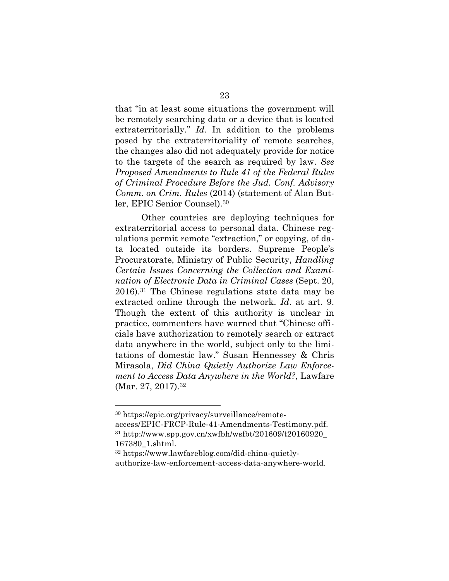that "in at least some situations the government will be remotely searching data or a device that is located extraterritorially." *Id*. In addition to the problems posed by the extraterritoriality of remote searches, the changes also did not adequately provide for notice to the targets of the search as required by law. *See Proposed Amendments to Rule 41 of the Federal Rules of Criminal Procedure Before the Jud. Conf. Advisory Comm. on Crim. Rules* (2014) (statement of Alan Butler, EPIC Senior Counsel).30

Other countries are deploying techniques for extraterritorial access to personal data. Chinese regulations permit remote "extraction," or copying, of data located outside its borders. Supreme People's Procuratorate, Ministry of Public Security, *Handling Certain Issues Concerning the Collection and Examination of Electronic Data in Criminal Cases* (Sept. 20, 2016).31 The Chinese regulations state data may be extracted online through the network. *Id*. at art. 9. Though the extent of this authority is unclear in practice, commenters have warned that "Chinese officials have authorization to remotely search or extract data anywhere in the world, subject only to the limitations of domestic law." Susan Hennessey & Chris Mirasola, *Did China Quietly Authorize Law Enforcement to Access Data Anywhere in the World?*, Lawfare (Mar. 27, 2017).<sup>32</sup>

<sup>30</sup> https://epic.org/privacy/surveillance/remote-

access/EPIC-FRCP-Rule-41-Amendments-Testimony.pdf.  $31$  http://www.spp.gov.cn/xwfbh/wsfbt/201609/t20160920\_ 167380\_1.shtml.

<sup>32</sup> https://www.lawfareblog.com/did-china-quietlyauthorize-law-enforcement-access-data-anywhere-world.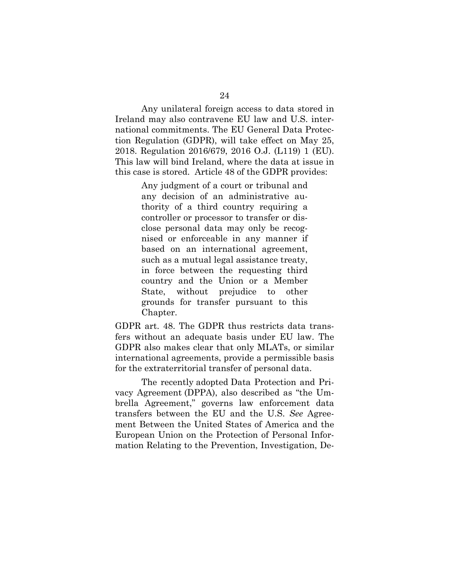Any unilateral foreign access to data stored in Ireland may also contravene EU law and U.S. international commitments. The EU General Data Protection Regulation (GDPR), will take effect on May 25, 2018. Regulation 2016/679, 2016 O.J. (L119) 1 (EU). This law will bind Ireland, where the data at issue in this case is stored. Article 48 of the GDPR provides:

> Any judgment of a court or tribunal and any decision of an administrative authority of a third country requiring a controller or processor to transfer or disclose personal data may only be recognised or enforceable in any manner if based on an international agreement, such as a mutual legal assistance treaty, in force between the requesting third country and the Union or a Member State, without prejudice to other grounds for transfer pursuant to this Chapter.

GDPR art. 48. The GDPR thus restricts data transfers without an adequate basis under EU law. The GDPR also makes clear that only MLATs, or similar international agreements, provide a permissible basis for the extraterritorial transfer of personal data.

The recently adopted Data Protection and Privacy Agreement (DPPA), also described as "the Umbrella Agreement," governs law enforcement data transfers between the EU and the U.S. *See* Agreement Between the United States of America and the European Union on the Protection of Personal Information Relating to the Prevention, Investigation, De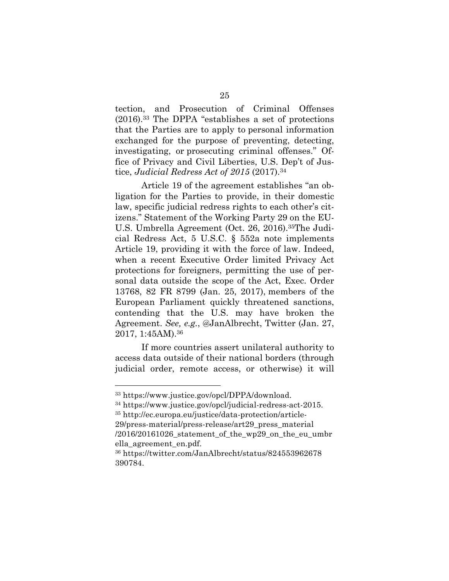tection, and Prosecution of Criminal Offenses (2016).33 The DPPA "establishes a set of protections that the Parties are to apply to personal information exchanged for the purpose of preventing, detecting, investigating, or prosecuting criminal offenses." Office of Privacy and Civil Liberties, U.S. Dep't of Justice, *Judicial Redress Act of 2015* (2017).34

Article 19 of the agreement establishes "an obligation for the Parties to provide, in their domestic law, specific judicial redress rights to each other's citizens." Statement of the Working Party 29 on the EU-U.S. Umbrella Agreement (Oct. 26, 2016).35The Judicial Redress Act, 5 U.S.C. § 552a note implements Article 19, providing it with the force of law. Indeed, when a recent Executive Order limited Privacy Act protections for foreigners, permitting the use of personal data outside the scope of the Act, Exec. Order 13768, 82 FR 8799 (Jan. 25, 2017), members of the European Parliament quickly threatened sanctions, contending that the U.S. may have broken the Agreement. *See, e.g.*, @JanAlbrecht, Twitter (Jan. 27, 2017, 1:45AM).36

If more countries assert unilateral authority to access data outside of their national borders (through judicial order, remote access, or otherwise) it will

<sup>33</sup> https://www.justice.gov/opcl/DPPA/download.

<sup>34</sup> https://www.justice.gov/opcl/judicial-redress-act-2015. <sup>35</sup> http://ec.europa.eu/justice/data-protection/article-29/press-material/press-release/art29\_press\_material

<sup>/2016/20161026</sup>\_statement\_of\_the\_wp29\_on\_the\_eu\_umbr ella\_agreement\_en.pdf.

<sup>36</sup> https://twitter.com/JanAlbrecht/status/824553962678 390784.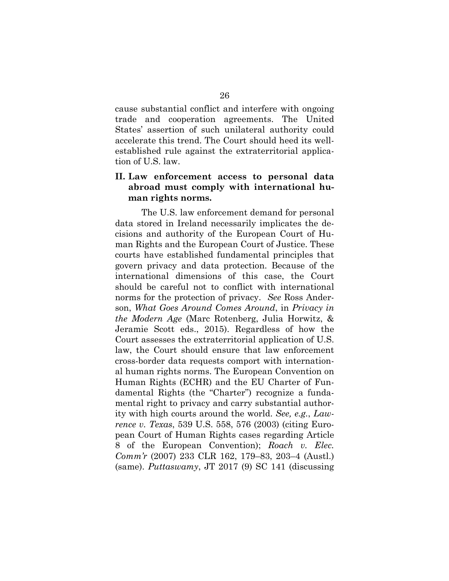cause substantial conflict and interfere with ongoing trade and cooperation agreements. The United States' assertion of such unilateral authority could accelerate this trend. The Court should heed its wellestablished rule against the extraterritorial application of U.S. law.

## **II. Law enforcement access to personal data abroad must comply with international human rights norms.**

The U.S. law enforcement demand for personal data stored in Ireland necessarily implicates the decisions and authority of the European Court of Human Rights and the European Court of Justice. These courts have established fundamental principles that govern privacy and data protection. Because of the international dimensions of this case, the Court should be careful not to conflict with international norms for the protection of privacy. *See* Ross Anderson, *What Goes Around Comes Around*, in *Privacy in the Modern Age* (Marc Rotenberg, Julia Horwitz, & Jeramie Scott eds., 2015). Regardless of how the Court assesses the extraterritorial application of U.S. law, the Court should ensure that law enforcement cross-border data requests comport with international human rights norms. The European Convention on Human Rights (ECHR) and the EU Charter of Fundamental Rights (the "Charter") recognize a fundamental right to privacy and carry substantial authority with high courts around the world. *See, e.g.*, *Lawrence v. Texas*, 539 U.S. 558, 576 (2003) (citing European Court of Human Rights cases regarding Article 8 of the European Convention); *Roach v. Elec. Comm'r* (2007) 233 CLR 162, 179–83, 203–4 (Austl.) (same). *Puttaswamy*, JT 2017 (9) SC 141 (discussing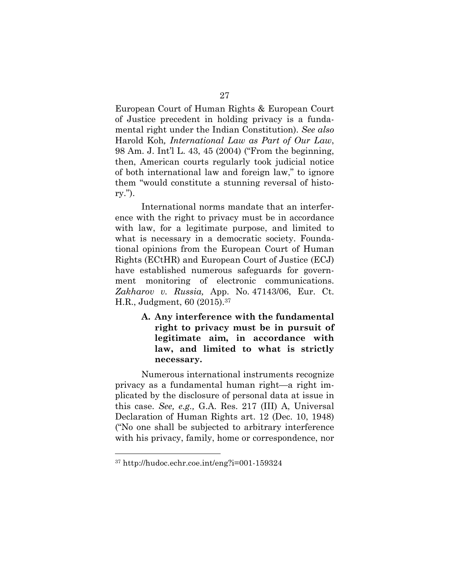European Court of Human Rights & European Court of Justice precedent in holding privacy is a fundamental right under the Indian Constitution). *See also* Harold Koh*, International Law as Part of Our Law*, 98 Am. J. Int'l L. 43, 45 (2004) ("From the beginning, then, American courts regularly took judicial notice of both international law and foreign law," to ignore them "would constitute a stunning reversal of history.").

International norms mandate that an interference with the right to privacy must be in accordance with law, for a legitimate purpose, and limited to what is necessary in a democratic society. Foundational opinions from the European Court of Human Rights (ECtHR) and European Court of Justice (ECJ) have established numerous safeguards for government monitoring of electronic communications. *Zakharov v. Russia,* App. No. 47143/06, Eur. Ct. H.R., Judgment, 60 (2015).37

> **A. Any interference with the fundamental right to privacy must be in pursuit of legitimate aim, in accordance with law, and limited to what is strictly necessary.**

Numerous international instruments recognize privacy as a fundamental human right—a right implicated by the disclosure of personal data at issue in this case. *See, e.g.,* G.A. Res. 217 (III) A, Universal Declaration of Human Rights art. 12 (Dec. 10, 1948) ("No one shall be subjected to arbitrary interference with his privacy, family, home or correspondence, nor

<sup>37</sup> http://hudoc.echr.coe.int/eng?i=001-159324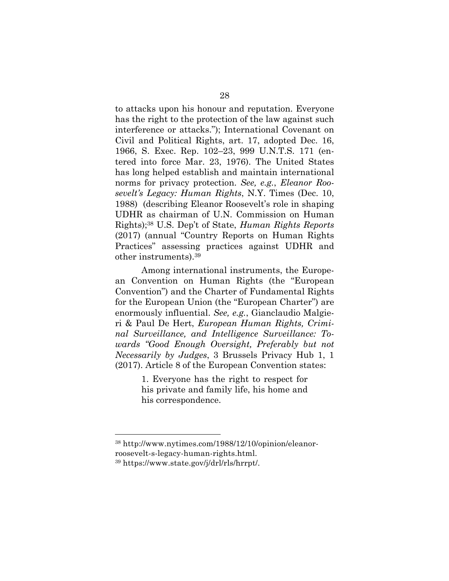to attacks upon his honour and reputation. Everyone has the right to the protection of the law against such interference or attacks."); International Covenant on Civil and Political Rights, art. 17, adopted Dec. 16, 1966, S. Exec. Rep. 102–23, 999 U.N.T.S. 171 (entered into force Mar. 23, 1976). The United States has long helped establish and maintain international norms for privacy protection. *See, e.g.*, *Eleanor Roosevelt's Legacy: Human Rights*, N.Y. Times (Dec. 10, 1988) (describing Eleanor Roosevelt's role in shaping UDHR as chairman of U.N. Commission on Human Rights);38 U.S. Dep't of State, *Human Rights Reports*  (2017) (annual "Country Reports on Human Rights Practices" assessing practices against UDHR and other instruments).39

Among international instruments, the European Convention on Human Rights (the "European Convention") and the Charter of Fundamental Rights for the European Union (the "European Charter") are enormously influential. *See, e.g.*, Gianclaudio Malgieri & Paul De Hert, *European Human Rights, Criminal Surveillance, and Intelligence Surveillance: Towards "Good Enough Oversight, Preferably but not Necessarily by Judges*, 3 Brussels Privacy Hub 1, 1 (2017). Article 8 of the European Convention states:

> 1. Everyone has the right to respect for his private and family life, his home and his correspondence.

<sup>38</sup> http://www.nytimes.com/1988/12/10/opinion/eleanorroosevelt-s-legacy-human-rights.html.

<sup>39</sup> https://www.state.gov/j/drl/rls/hrrpt/.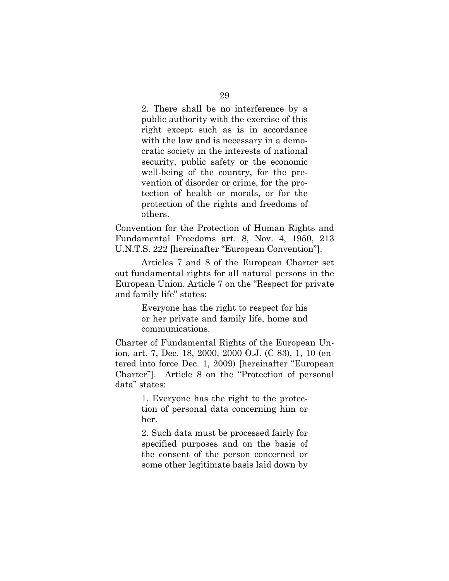2. There shall be no interference by a public authority with the exercise of this right except such as is in accordance with the law and is necessary in a democratic society in the interests of national security, public safety or the economic well-being of the country, for the prevention of disorder or crime, for the protection of health or morals, or for the protection of the rights and freedoms of others.

Convention for the Protection of Human Rights and Fundamental Freedoms art. 8, Nov. 4, 1950, 213 U.N.T.S. 222 [hereinafter "European Convention"].

Articles 7 and 8 of the European Charter set out fundamental rights for all natural persons in the European Union. Article 7 on the "Respect for private and family life" states:

> Everyone has the right to respect for his or her private and family life, home and communications.

Charter of Fundamental Rights of the European Union, art. 7, Dec. 18, 2000, 2000 O.J. (C 83), 1, 10 (entered into force Dec. 1, 2009) [hereinafter "European Charter"]. Article 8 on the "Protection of personal data" states:

> 1. Everyone has the right to the protection of personal data concerning him or her.

> 2. Such data must be processed fairly for specified purposes and on the basis of the consent of the person concerned or some other legitimate basis laid down by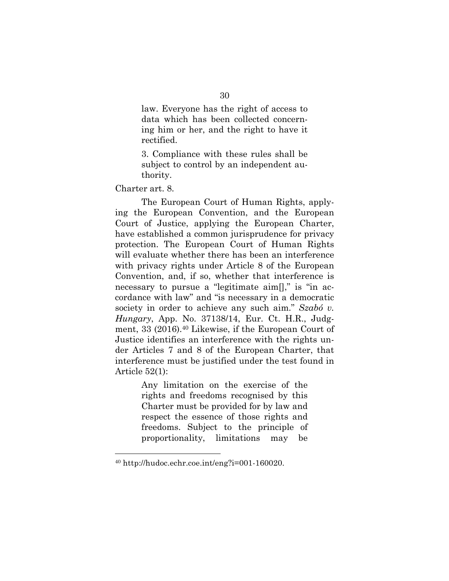law. Everyone has the right of access to data which has been collected concerning him or her, and the right to have it rectified.

3. Compliance with these rules shall be subject to control by an independent authority.

Charter art. 8.

<u>.</u>

The European Court of Human Rights, applying the European Convention, and the European Court of Justice, applying the European Charter, have established a common jurisprudence for privacy protection. The European Court of Human Rights will evaluate whether there has been an interference with privacy rights under Article 8 of the European Convention, and, if so, whether that interference is necessary to pursue a "legitimate aim[]," is "in accordance with law" and "is necessary in a democratic society in order to achieve any such aim." *Szabó v. Hungary*, App. No. 37138/14, Eur. Ct. H.R., Judgment, 33 (2016).40 Likewise, if the European Court of Justice identifies an interference with the rights under Articles 7 and 8 of the European Charter, that interference must be justified under the test found in Article 52(1):

> Any limitation on the exercise of the rights and freedoms recognised by this Charter must be provided for by law and respect the essence of those rights and freedoms. Subject to the principle of proportionality, limitations may be

 $40$  http://hudoc.echr.coe.int/eng?i=001-160020.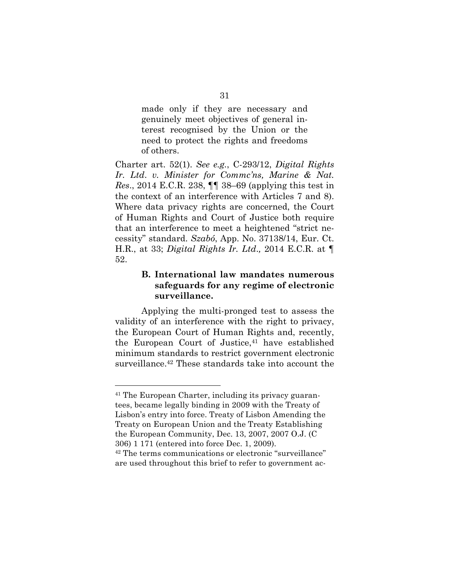made only if they are necessary and genuinely meet objectives of general interest recognised by the Union or the need to protect the rights and freedoms of others.

Charter art. 52(1). *See e.g.*, C-293/12, *Digital Rights Ir. Ltd*. *v. Minister for Commc'ns, Marine & Nat. Res*., 2014 E.C.R. 238, ¶¶ 38–69 (applying this test in the context of an interference with Articles 7 and 8). Where data privacy rights are concerned, the Court of Human Rights and Court of Justice both require that an interference to meet a heightened "strict necessity" standard. *Szabó*, App. No. 37138/14, Eur. Ct. H.R., at 33; *Digital Rights Ir. Ltd*.*,* 2014 E.C.R. at ¶ 52.

## **B. International law mandates numerous safeguards for any regime of electronic surveillance.**

Applying the multi-pronged test to assess the validity of an interference with the right to privacy, the European Court of Human Rights and, recently, the European Court of Justice,<sup>41</sup> have established minimum standards to restrict government electronic surveillance.42 These standards take into account the

<sup>41</sup> The European Charter, including its privacy guarantees, became legally binding in 2009 with the Treaty of Lisbon's entry into force. Treaty of Lisbon Amending the Treaty on European Union and the Treaty Establishing the European Community, Dec. 13, 2007, 2007 O.J. (C 306) 1 171 (entered into force Dec. 1, 2009).

<sup>42</sup> The terms communications or electronic "surveillance" are used throughout this brief to refer to government ac-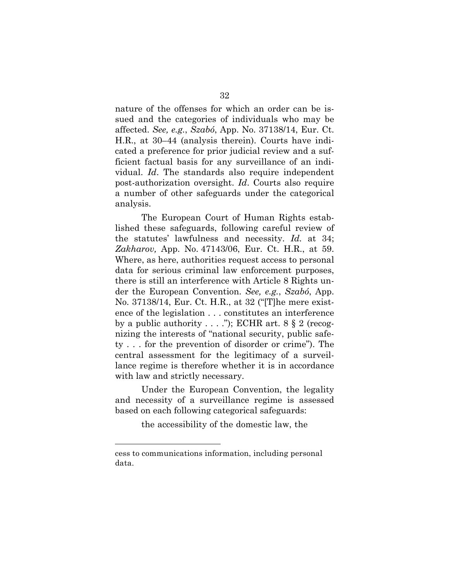nature of the offenses for which an order can be issued and the categories of individuals who may be affected. *See, e.g.*, *Szabó*, App. No. 37138/14, Eur. Ct. H.R., at 30–44 (analysis therein). Courts have indicated a preference for prior judicial review and a sufficient factual basis for any surveillance of an individual. *Id*. The standards also require independent post-authorization oversight. *Id*. Courts also require a number of other safeguards under the categorical analysis.

The European Court of Human Rights established these safeguards, following careful review of the statutes' lawfulness and necessity. *Id.* at 34; *Zakharov,* App. No. 47143/06, Eur. Ct. H.R., at 59. Where, as here, authorities request access to personal data for serious criminal law enforcement purposes, there is still an interference with Article 8 Rights under the European Convention. *See, e.g.*, *Szabó*, App. No. 37138/14, Eur. Ct. H.R., at 32 ("[T]he mere existence of the legislation . . . constitutes an interference by a public authority  $\dots$  ."); ECHR art. 8 § 2 (recognizing the interests of "national security, public safety . . . for the prevention of disorder or crime"). The central assessment for the legitimacy of a surveillance regime is therefore whether it is in accordance with law and strictly necessary.

Under the European Convention, the legality and necessity of a surveillance regime is assessed based on each following categorical safeguards:

the accessibility of the domestic law, the

cess to communications information, including personal data.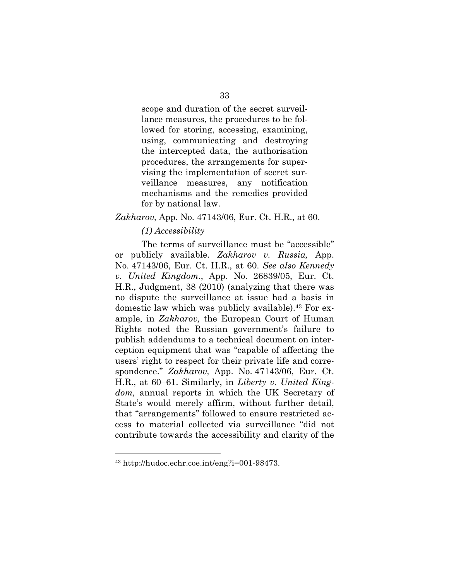scope and duration of the secret surveillance measures, the procedures to be followed for storing, accessing, examining, using, communicating and destroying the intercepted data, the authorisation procedures, the arrangements for supervising the implementation of secret surveillance measures, any notification mechanisms and the remedies provided for by national law.

#### *Zakharov,* App. No. 47143/06, Eur. Ct. H.R., at 60.

#### *(1) Accessibility*

The terms of surveillance must be "accessible" or publicly available. *Zakharov v. Russia,* App. No. 47143/06, Eur. Ct. H.R., at 60. *See also Kennedy v. United Kingdom.*, App. No. 26839/05, Eur. Ct. H.R., Judgment, 38 (2010) (analyzing that there was no dispute the surveillance at issue had a basis in domestic law which was publicly available).43 For example, in *Zakharov,* the European Court of Human Rights noted the Russian government's failure to publish addendums to a technical document on interception equipment that was "capable of affecting the users' right to respect for their private life and correspondence." *Zakharov,* App. No. 47143/06, Eur. Ct. H.R., at 60–61. Similarly, in *Liberty v. United Kingdom,* annual reports in which the UK Secretary of State's would merely affirm, without further detail, that "arrangements" followed to ensure restricted access to material collected via surveillance "did not contribute towards the accessibility and clarity of the

<sup>43</sup> http://hudoc.echr.coe.int/eng?i=001-98473.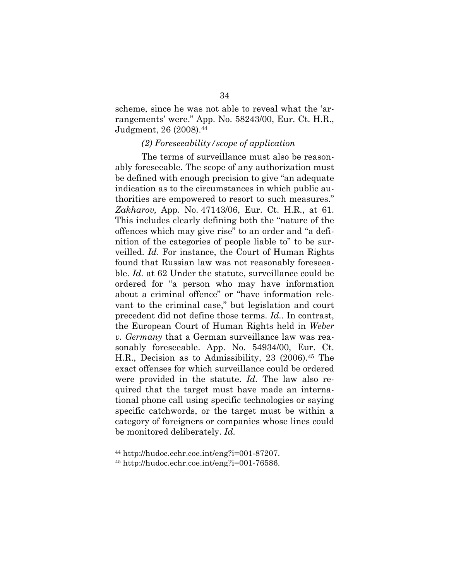scheme, since he was not able to reveal what the 'arrangements' were." App. No. 58243/00, Eur. Ct. H.R., Judgment, 26 (2008).44

### *(2) Foreseeability/scope of application*

The terms of surveillance must also be reasonably foreseeable. The scope of any authorization must be defined with enough precision to give "an adequate indication as to the circumstances in which public authorities are empowered to resort to such measures." *Zakharov,* App. No. 47143/06, Eur. Ct. H.R., at 61. This includes clearly defining both the "nature of the offences which may give rise" to an order and "a definition of the categories of people liable to" to be surveilled. *Id*. For instance, the Court of Human Rights found that Russian law was not reasonably foreseeable. *Id.* at 62 Under the statute, surveillance could be ordered for "a person who may have information about a criminal offence" or "have information relevant to the criminal case," but legislation and court precedent did not define those terms. *Id.*. In contrast, the European Court of Human Rights held in *Weber v. Germany* that a German surveillance law was reasonably foreseeable. App. No. 54934/00, Eur. Ct. H.R., Decision as to Admissibility, 23 (2006).45 The exact offenses for which surveillance could be ordered were provided in the statute. *Id.* The law also required that the target must have made an international phone call using specific technologies or saying specific catchwords, or the target must be within a category of foreigners or companies whose lines could be monitored deliberately. *Id.*

<sup>44</sup> http://hudoc.echr.coe.int/eng?i=001-87207.

<sup>45</sup> http://hudoc.echr.coe.int/eng?i=001-76586.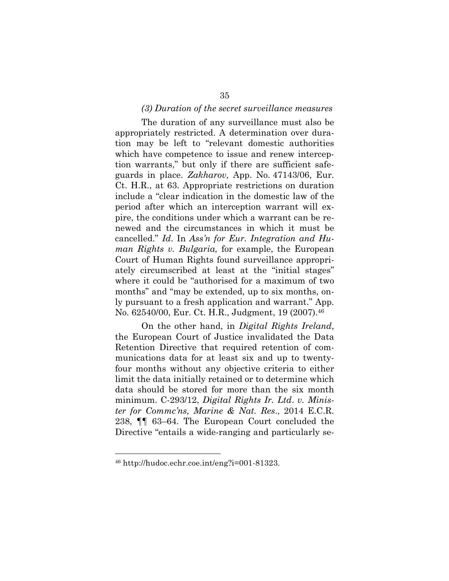#### *(3) Duration of the secret surveillance measures*

The duration of any surveillance must also be appropriately restricted. A determination over duration may be left to "relevant domestic authorities which have competence to issue and renew interception warrants," but only if there are sufficient safeguards in place. *Zakharov,* App. No. 47143/06, Eur. Ct. H.R., at 63. Appropriate restrictions on duration include a "clear indication in the domestic law of the period after which an interception warrant will expire, the conditions under which a warrant can be renewed and the circumstances in which it must be cancelled." *Id*. In *Ass'n for Eur. Integration and Human Rights v. Bulgaria,* for example, the European Court of Human Rights found surveillance appropriately circumscribed at least at the "initial stages" where it could be "authorised for a maximum of two months" and "may be extended, up to six months, only pursuant to a fresh application and warrant." App. No. 62540/00, Eur. Ct. H.R., Judgment, 19 (2007).46

On the other hand, in *Digital Rights Ireland*, the European Court of Justice invalidated the Data Retention Directive that required retention of communications data for at least six and up to twentyfour months without any objective criteria to either limit the data initially retained or to determine which data should be stored for more than the six month minimum. C-293/12, *Digital Rights Ir. Ltd*. *v. Minister for Commc'ns, Marine & Nat. Res*., 2014 E.C.R. 238, ¶¶ 63–64. The European Court concluded the Directive "entails a wide-ranging and particularly se-

<sup>46</sup> http://hudoc.echr.coe.int/eng?i=001-81323.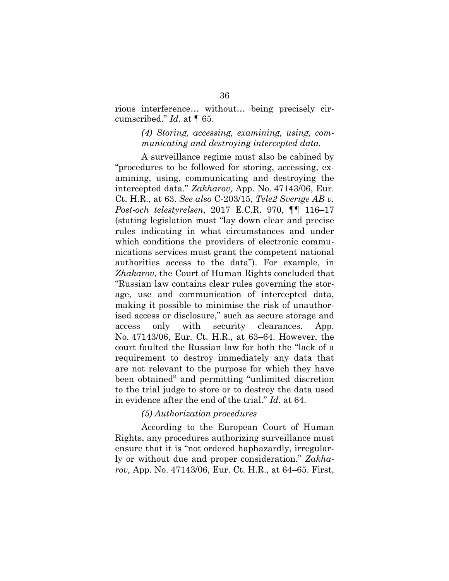rious interference… without… being precisely circumscribed." *Id*. at ¶ 65.

## *(4) Storing, accessing, examining, using, communicating and destroying intercepted data.*

A surveillance regime must also be cabined by "procedures to be followed for storing, accessing, examining, using, communicating and destroying the intercepted data." *Zakharov,* App. No. 47143/06, Eur. Ct. H.R., at 63. *See also* C-203/15, *Tele2 Sverige AB v. Post-och telestyrelsen*, 2017 E.C.R. 970, ¶¶ 116–17 (stating legislation must "lay down clear and precise rules indicating in what circumstances and under which conditions the providers of electronic communications services must grant the competent national authorities access to the data"). For example, in *Zhakarov*, the Court of Human Rights concluded that "Russian law contains clear rules governing the storage, use and communication of intercepted data, making it possible to minimise the risk of unauthorised access or disclosure," such as secure storage and access only with security clearances. App. No. 47143/06, Eur. Ct. H.R., at 63–64. However, the court faulted the Russian law for both the "lack of a requirement to destroy immediately any data that are not relevant to the purpose for which they have been obtained" and permitting "unlimited discretion to the trial judge to store or to destroy the data used in evidence after the end of the trial." *Id.* at 64.

#### *(5) Authorization procedures*

According to the European Court of Human Rights, any procedures authorizing surveillance must ensure that it is "not ordered haphazardly, irregularly or without due and proper consideration." *Zakharov,* App. No. 47143/06, Eur. Ct. H.R., at 64–65. First,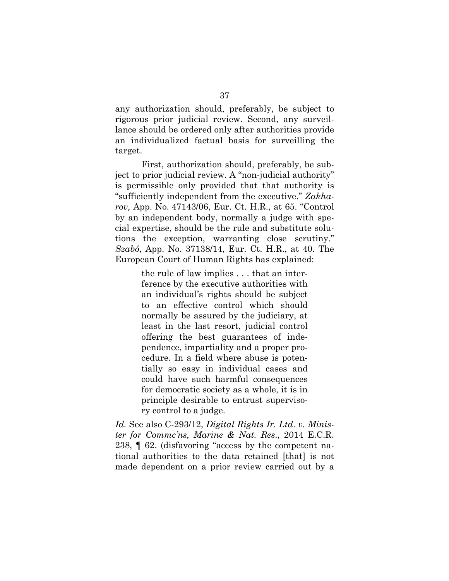any authorization should, preferably, be subject to rigorous prior judicial review. Second, any surveillance should be ordered only after authorities provide an individualized factual basis for surveilling the target.

First, authorization should, preferably, be subject to prior judicial review. A "non-judicial authority" is permissible only provided that that authority is "sufficiently independent from the executive." *Zakharov,* App. No. 47143/06, Eur. Ct. H.R., at 65. "Control by an independent body, normally a judge with special expertise, should be the rule and substitute solutions the exception, warranting close scrutiny." *Szabó*, App. No. 37138/14, Eur. Ct. H.R., at 40. The European Court of Human Rights has explained:

> the rule of law implies . . . that an interference by the executive authorities with an individual's rights should be subject to an effective control which should normally be assured by the judiciary, at least in the last resort, judicial control offering the best guarantees of independence, impartiality and a proper procedure. In a field where abuse is potentially so easy in individual cases and could have such harmful consequences for democratic society as a whole, it is in principle desirable to entrust supervisory control to a judge.

*Id.* See also C-293/12, *Digital Rights Ir. Ltd*. *v. Minister for Commc'ns, Marine & Nat. Res*., 2014 E.C.R. 238, ¶ 62. (disfavoring "access by the competent national authorities to the data retained [that] is not made dependent on a prior review carried out by a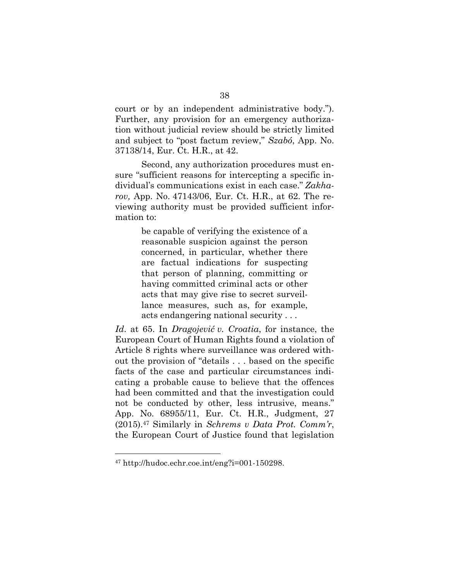court or by an independent administrative body."). Further, any provision for an emergency authorization without judicial review should be strictly limited and subject to "post factum review," *Szabó*, App. No. 37138/14, Eur. Ct. H.R., at 42.

Second, any authorization procedures must ensure "sufficient reasons for intercepting a specific individual's communications exist in each case." *Zakharov,* App. No. 47143/06, Eur. Ct. H.R., at 62. The reviewing authority must be provided sufficient information to:

> be capable of verifying the existence of a reasonable suspicion against the person concerned, in particular, whether there are factual indications for suspecting that person of planning, committing or having committed criminal acts or other acts that may give rise to secret surveillance measures, such as, for example, acts endangering national security . . .

*Id*. at 65. In *Dragojević v. Croatia*, for instance, the European Court of Human Rights found a violation of Article 8 rights where surveillance was ordered without the provision of "details . . . based on the specific facts of the case and particular circumstances indicating a probable cause to believe that the offences had been committed and that the investigation could not be conducted by other, less intrusive, means." App. No. 68955/11, Eur. Ct. H.R., Judgment, 27 (2015).47 Similarly in *Schrems v Data Prot. Comm'r*, the European Court of Justice found that legislation

<sup>47</sup> http://hudoc.echr.coe.int/eng?i=001-150298.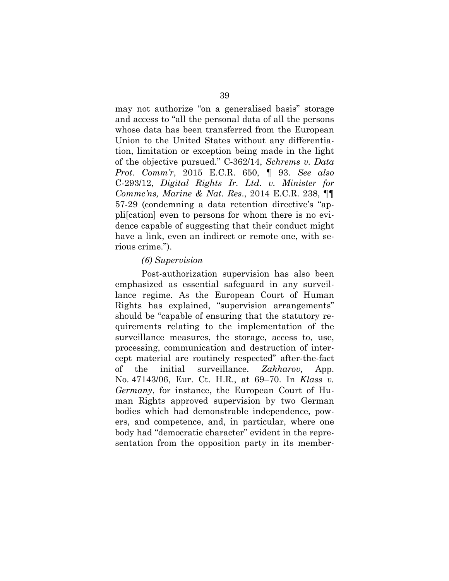may not authorize "on a generalised basis" storage and access to "all the personal data of all the persons whose data has been transferred from the European Union to the United States without any differentiation, limitation or exception being made in the light of the objective pursued." C-362/14, *Schrems v. Data Prot. Comm'r*, 2015 E.C.R. 650, ¶ 93. *See also*  C-293/12, *Digital Rights Ir. Ltd*. *v. Minister for Commc'ns, Marine & Nat. Res*., 2014 E.C.R. 238, ¶¶ 57-29 (condemning a data retention directive's "appli[cation] even to persons for whom there is no evidence capable of suggesting that their conduct might have a link, even an indirect or remote one, with serious crime.").

#### *(6) Supervision*

Post-authorization supervision has also been emphasized as essential safeguard in any surveillance regime. As the European Court of Human Rights has explained, "supervision arrangements" should be "capable of ensuring that the statutory requirements relating to the implementation of the surveillance measures, the storage, access to, use, processing, communication and destruction of intercept material are routinely respected" after-the-fact of the initial surveillance. *Zakharov,* App. No. 47143/06, Eur. Ct. H.R., at 69–70. In *Klass v. Germany*, for instance, the European Court of Human Rights approved supervision by two German bodies which had demonstrable independence, powers, and competence, and, in particular, where one body had "democratic character" evident in the representation from the opposition party in its member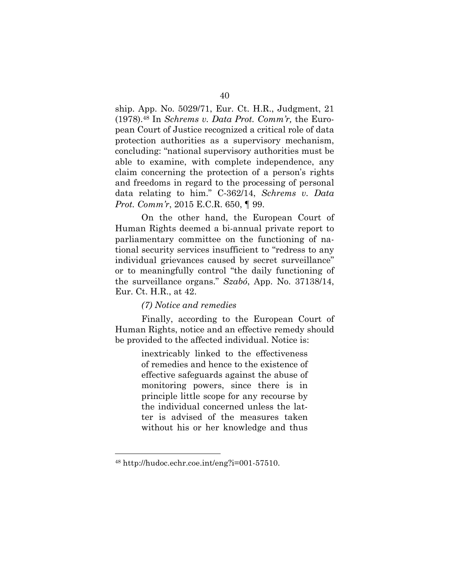ship. App. No. 5029/71, Eur. Ct. H.R., Judgment, 21 (1978).48 In *Schrems v. Data Prot. Comm'r,* the European Court of Justice recognized a critical role of data protection authorities as a supervisory mechanism, concluding: "national supervisory authorities must be able to examine, with complete independence, any claim concerning the protection of a person's rights and freedoms in regard to the processing of personal data relating to him." C-362/14, *Schrems v. Data Prot. Comm'r*, 2015 E.C.R. 650, ¶ 99.

On the other hand, the European Court of Human Rights deemed a bi-annual private report to parliamentary committee on the functioning of national security services insufficient to "redress to any individual grievances caused by secret surveillance" or to meaningfully control "the daily functioning of the surveillance organs." *Szabó*, App. No. 37138/14, Eur. Ct. H.R., at 42.

#### *(7) Notice and remedies*

Finally, according to the European Court of Human Rights, notice and an effective remedy should be provided to the affected individual. Notice is:

> inextricably linked to the effectiveness of remedies and hence to the existence of effective safeguards against the abuse of monitoring powers, since there is in principle little scope for any recourse by the individual concerned unless the latter is advised of the measures taken without his or her knowledge and thus

<sup>48</sup> http://hudoc.echr.coe.int/eng?i=001-57510.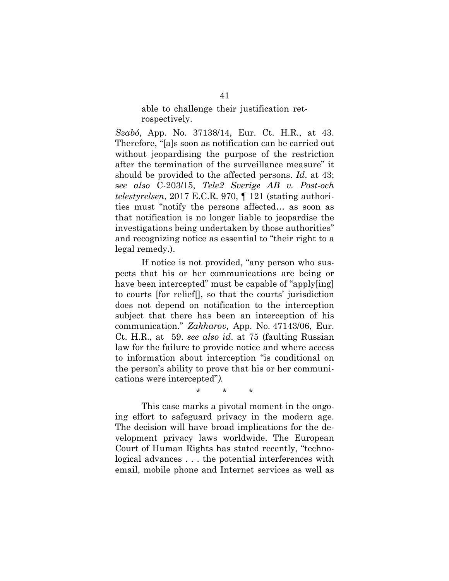### able to challenge their justification retrospectively.

*Szabó*, App. No. 37138/14, Eur. Ct. H.R., at 43. Therefore, "[a]s soon as notification can be carried out without jeopardising the purpose of the restriction after the termination of the surveillance measure" it should be provided to the affected persons. *Id*. at 43; s*ee also* C-203/15, *Tele2 Sverige AB v. Post-och telestyrelsen*, 2017 E.C.R. 970, ¶ 121 (stating authorities must "notify the persons affected… as soon as that notification is no longer liable to jeopardise the investigations being undertaken by those authorities" and recognizing notice as essential to "their right to a legal remedy.).

If notice is not provided, "any person who suspects that his or her communications are being or have been intercepted" must be capable of "apply[ing] to courts [for relief[], so that the courts' jurisdiction does not depend on notification to the interception subject that there has been an interception of his communication." *Zakharov,* App. No. 47143/06, Eur. Ct. H.R., at 59. *see also id*. at 75 (faulting Russian law for the failure to provide notice and where access to information about interception "is conditional on the person's ability to prove that his or her communications were intercepted"*).* 

\* \* \*

This case marks a pivotal moment in the ongoing effort to safeguard privacy in the modern age. The decision will have broad implications for the development privacy laws worldwide. The European Court of Human Rights has stated recently, "technological advances . . . the potential interferences with email, mobile phone and Internet services as well as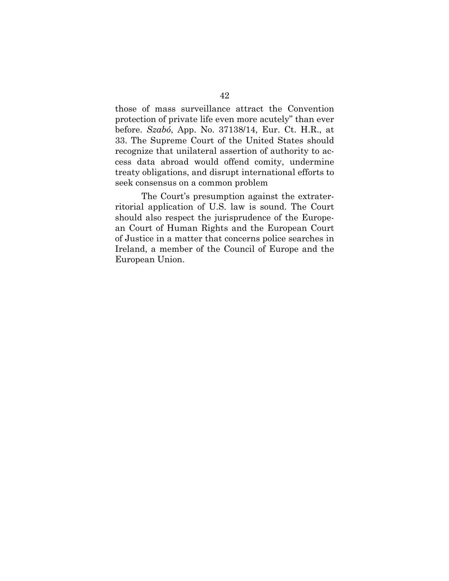those of mass surveillance attract the Convention protection of private life even more acutely" than ever before. *Szabó*, App. No. 37138/14, Eur. Ct. H.R., at 33. The Supreme Court of the United States should recognize that unilateral assertion of authority to access data abroad would offend comity, undermine treaty obligations, and disrupt international efforts to seek consensus on a common problem

The Court's presumption against the extraterritorial application of U.S. law is sound. The Court should also respect the jurisprudence of the European Court of Human Rights and the European Court of Justice in a matter that concerns police searches in Ireland, a member of the Council of Europe and the European Union.